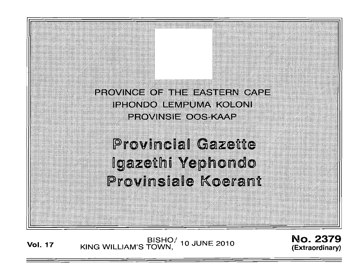

# **Provincial Gazette** lgazethi Yephondo Provinsiale Koerant

**Vol. <sup>17</sup>** BISHO/ KING WILLIAM'S TOWN, 10 JUNE 2010

No. 2379 (Extraordinary)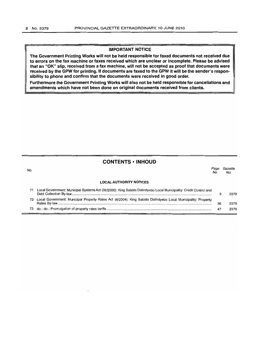# **IMPORTANT NOTICE**

**The Government Printing Works will not be held responsible for faxed documents not received due to errors on the fax machine or faxes received which are unclear or incomplete. Please be advised that an "OK" slip, received from a fax machine, will not be accepted as proof that documents were received by the GPW for printing. If documents are faxed to the GPW it will be the sender's responsibility to phone and confirm that the documents were received in good order.**

**Furthermore the Government Printing Works will also not be held responsible for cancellations and amendments which have not been done on original documents received from clients.**

# **CONTENTS· INHOUD**

No. **LOCAL AUTHORITY NOTICES** Page Gazette<br>No. No.  $N_{O}$ . 71 Local Government: Municipal Systems Act (32/2000): King Sabata Dalindyebo Local Municipality: Credit Control and Debt Collection By-law................................................................................................................................................... 3 2379 72 Local Government: Municipal Property Rates Act (6/2004): King Sabata Dalindyebo Local Municipality: Property Rates By-law.................................................................................................................................................................. 36 2379 73 do.: do.: Promulgation of property rates tariffs 47 2379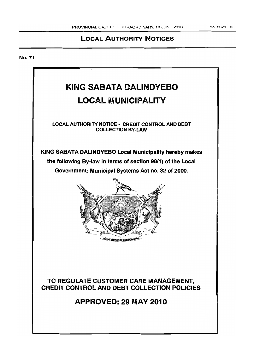# LOCAL AUTHORITY NOTICES

No. 71

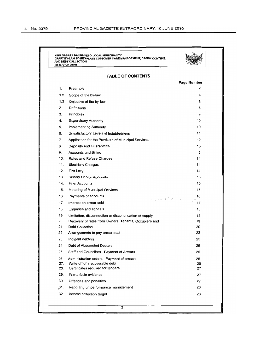|            | KING SABATA DALINDYEBO LOCAL MUNICIPALITY<br>DRAFT BY-LAW TO REGULATE CUSTOMER CARE MANAGEMENT, CREDIT CONTROL<br>AND DEBT COLLECTION<br>(25 MARCH 2010) |                  |
|------------|----------------------------------------------------------------------------------------------------------------------------------------------------------|------------------|
|            |                                                                                                                                                          |                  |
|            | <b>TABLE OF CONTENTS</b>                                                                                                                                 |                  |
| 1.         | Preamble                                                                                                                                                 | Page Number<br>4 |
|            |                                                                                                                                                          |                  |
| 1.2<br>1.3 | Scope of the by-law                                                                                                                                      | 4                |
| 2.         | Objective of the by-law<br>Definitions                                                                                                                   | 5<br>5           |
| 3.         | Principles                                                                                                                                               | 9                |
| 4.         | <b>Supervisory Authority</b>                                                                                                                             | 10               |
| 5.         | <b>Implementing Authority</b>                                                                                                                            | 10               |
| 6.         | Unsatisfactory Levels of Indebtedness                                                                                                                    | 11               |
| 7.         | Application for the Provision of Municipal Services                                                                                                      | 12               |
| 8.         | Deposits and Guarantees                                                                                                                                  | 13               |
| 9.         | <b>Accounts and Billing</b>                                                                                                                              | 13               |
| 10.        | Rates and Refuse Charges                                                                                                                                 | 14               |
| 11.        | <b>Electricity Charges</b>                                                                                                                               | 14               |
| 12.        | Fire Levy                                                                                                                                                | 14               |
| 13.        | <b>Sundry Debtor Accounts</b>                                                                                                                            | 15               |
| 14.        | <b>Final Accounts</b>                                                                                                                                    | 15               |
| 15.        | Metering of Municipal Services                                                                                                                           | 15               |
| 16.        | Payments of accounts                                                                                                                                     | 16               |
| 17.        | $\frac{1}{2} - 2\sqrt{2} \sqrt{3} \sqrt{2} \sqrt{2}$<br>Interest on arrear debt                                                                          | 17               |
| 18.        | Enquiries and appeals                                                                                                                                    | 18               |
| 19.        | Limitation, disconnection or discontinuation of supply                                                                                                   | 18               |
| 20.        | Recovery of rates from Owners, Tenants, Occupiers and                                                                                                    | 19               |
| 21.        | <b>Debt Collection</b>                                                                                                                                   | 20               |
| 22.        | Arrangements to pay arrear debt                                                                                                                          | 23               |
| 23.        | Indigent debtors                                                                                                                                         | 25               |
| 24.        | Debt of Absconded Debtors                                                                                                                                | 26               |
| 25.        | Staff and Councilors - Payment of Arrears                                                                                                                | 26               |
| 26.        | Administration orders - Payment of arrears                                                                                                               | 26               |
| 27.<br>28. | Write off of irrecoverable debt<br>Certificates required for tenders                                                                                     | 26<br>27         |
| 29.        | Prima facie evidence                                                                                                                                     | 27               |
| 30.        | Offences and penalties                                                                                                                                   | 27               |
| ,31.       | Reporting on performance management                                                                                                                      | 28               |
| 32.        | Income collection target                                                                                                                                 | 28               |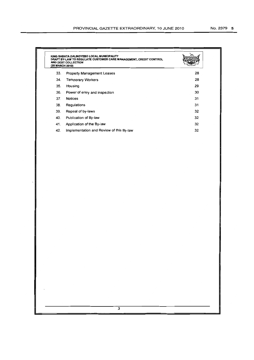| KING SABATA DALINDYEBO LOCAL MUNICIPALITY<br>DRAFT BY-LAW TO REGULATE CUSTOMER CARE MANAGEMENT, CREDIT CONTROL<br>AND DEBT COLLECTION<br>(25 MARCH 2010) |                                          |    |
|----------------------------------------------------------------------------------------------------------------------------------------------------------|------------------------------------------|----|
| 33.                                                                                                                                                      | <b>Property Management Leases</b>        | 28 |
| 34.                                                                                                                                                      | <b>Temporary Workers</b>                 | 28 |
| 35.                                                                                                                                                      | Housing                                  | 29 |
| 36.                                                                                                                                                      | Power of entry and inspection            | 30 |
| 37.                                                                                                                                                      | <b>Notices</b>                           | 31 |
| 38.                                                                                                                                                      | Regulations                              | 31 |
| 39.                                                                                                                                                      | Repeal of by-laws                        | 32 |
| 40.                                                                                                                                                      | Publication of By-law                    | 32 |
| 41.                                                                                                                                                      | Application of the By-law                | 32 |
| 42.                                                                                                                                                      | Implementation and Review of this By-law | 32 |
|                                                                                                                                                          |                                          |    |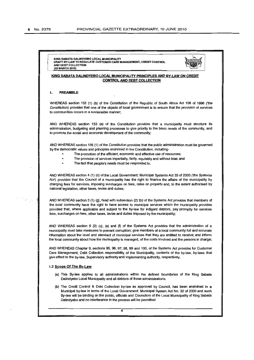KING SABATA DAUNDYEBO LOCAL MUNICIPAUTY DRAFT BY-LAW TO REGULATE CUSTOMER CARE MANAGEMENT, CREDIT CONTROL AND DEBT COLLECTION (25 MARCH 2010)



#### KING SABATA DALINDYEBO LOCAL MUNICIPALITY PRINCIPLES AND BY-LAW ON CREDIT CONTROL AND DEBT COLLECTION

#### 1. PREAMBLE

WHEREAS section 152 (1) (b) of the Constitution of the Republic of South Africa Act 108 of 1996 ('the Constitution) provides that one of the objects of local government is to ensure that the provision of services to communities occurs in a sustainable manner;

AND WHEREAS section 153 (a) of the Constitution provides that a municipality must structure its administration, budgeting and planning processes to give priority to the basic needs of the community, and to promote the social and economic development of the community;

AND WHEREAS section 195 (1) of the Constitution provides that the public administration must be governed by the democratic values and principles enshrined in the Constitution, including-

- The promotion of the efficient, economic and effective use of resources;
- The provision of services impartially, fairly, equitably and without bias; and
- The fact that people's needs must be responded to.

AND WHEREAS section 4 (1) (c) of the Local Government: Municipal Systems Act 33 of 2000 ('the Systems Act') provides that the Council of a municipality has the right to finance the affairs of the municipality by charging fees for services, imposing surcharges on fees, rates on property and, to the extent authorised by .national legislation, other taxes, levies and duties;

AND WHEREAS section 5 (1) (g); fead with subsection (2) (b) of the Systems Act provides that members of the local community have the right to have access to municipal services which the municipality provides provided that, where applicable and subject to the by-law for indigent debtors, pay promptly for services fees, surcharges on fees, other taxes, levies and duties imposed by the municipality;

AND WHEREAS section 6 (2) (c), (e) and (f) of the Systems Act provides that the administration of a municipality must take measures to prevent corruption; give members of a local community full and accurate information about the level and standard of municipal services that they are entitled to receive; and inform the local community about how the municipality is managed, of the costs involved and the persons in charge;

AND WHEREAS Chapter 9, sections 95,96,97,98,99 and 100, of the Systems Act provides for Customer Care Management, Debt Collection responsibility of the Municipality, contents of the by-law, by-laws that give effect to the by-law, Supervisory authority and Implementing authority, respectively.

#### 1.2 Scope Of The By-Law

- (a) This By-law applies to all administrations within the defined boundaries of the King Sabata Dalindyebo Local Municipality and all debtors of these administrations.
- (b) The Credit Control & Debt Collection by-law as approved by Council, has been enshrined in a Municipal by-law in terms of the Local Government: Municipal System Act No. 32 of 2000 and such By-law will be binding on the public, officials and Councilors of the Local Municipality of King Sabata Dalindyebo and no interference in the process will be permitted.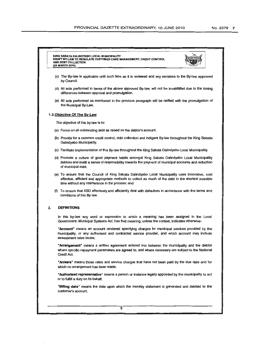# KING SABATA DALINDYEBO LOCAL MUNICIPALITY<br>DRAFT BY-LAW TO REGULATE CUSTOMER CARE MANAGEMENT, CREDIT CONTROL<br>AND DEBT COLLECTION (25 MARCH 2010) (c) The By-law is applicable until such time as it is reviewed and any revisions to the By-law approved by Council. (d) All acts performed in terms of the above approved By-law, will not be invalidated due to the timing differences between approval and promulgation. (e) All acts performed as mentioned in the previous paragraph will be ratified with the promulgation of the Municipal By-Law. 1.3.0bjective Of The By-Law The objective of this by-law is to: (a) Focus on all outstanding debt as raised on the debtor's account. (b) Provide for a common credit control, debt collection and indigent By-law throughout the King Sabata Dalindyebo Municipality. (c) Facilitate implementation of this By-law throughout the King Sabata Dalindyebo Local Municipality. (d) Promote a culture of good payment habits amongst King Sabata Dalindyebo Local Municipality debtors and instill a sense of responsibility towards the payment of municipal accounts and reduction of municipal debt. (e) To ensure that the Council of King Sabata Dalindyebo Local Municipality uses innovative, cost effective, efficient and appropriate methods to collect as much of the debt in the shortest possible time without any interference in the process: and (f) To ensure that KSD effectively and efficiently deal with defaulters in accordance with the terms and conditions of this By-law. 2. DEFINITIONS In this by-law any word or expression to which a meaning has been assigned in the Local Government: Municipal Systems Act, has that meaning, unless the context, indicates otherwise-"Account" means an account rendered specifying charges for municipal services provided by the municipality, or any authorised and contracted service provider, and which account may include assessment rates levies; "Arrangement" means a written agreement entered into between the municipality and the debtor where specific repayment parameters are agreed to, and where necessary are subject to the National Credit Act. "Arrears" means those rates and service charges that have not been paid by the due date and for which no arrangement has been made. "Authorised representative" means a person or instance legally appointed by the municipality to act or to fulfill a duty on its behalf. "Billing date" means the date upon which the monthly statement is generated and debited to the customer's account. 5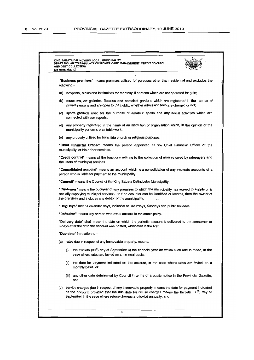| AND DEBT COLLECTION<br>(25 MARCH 2010)                                                                                                                                                                                                                                                   |
|------------------------------------------------------------------------------------------------------------------------------------------------------------------------------------------------------------------------------------------------------------------------------------------|
| "Business premises" means premises utilised for purposes other than residential and excludes the<br>following:-                                                                                                                                                                          |
| (a) hospitals, clinics and institutions for mentally ill persons which are not operated for gain;                                                                                                                                                                                        |
| (b) museums, art galleries, libraries and botanical gardens which are registered in the names of<br>private persons and are open to the public, whether admission fees are charged or not;                                                                                               |
| (c) sports grounds used for the purpose of amateur sports and any social activities which are<br>connected with such sports;                                                                                                                                                             |
| (d) any property registered in the name of an institution or organisation which, in the opinion of the<br>municipality performs charitable work;                                                                                                                                         |
| (e) any property utilised for bona fide church or religious purposes.                                                                                                                                                                                                                    |
| "Chief Financial Officer" means the person appointed as the Chief Financial Officer of the<br>municipality, or his or her nominee.                                                                                                                                                       |
| "Credit control" means all the functions relating to the collection of monies owed by ratepayers and<br>the users of municipal services.                                                                                                                                                 |
| "Consolidated account" means an account which is a consolidation of any separate accounts of a<br>person who is liable for payment to the municipality.                                                                                                                                  |
| "Council" means the Council of the King Sabata Dalindyebo Municipality.                                                                                                                                                                                                                  |
| "Customer" means the occupier of any premises to which the municipality has agreed to supply or is<br>actually supplying municipal services, or if no occupier can be identified or located, then the owner of<br>the premises and includes any debtor of the municipality.              |
| "Day/Days" means calendar days, inclusive of Saturdays, Sundays and public holidays.                                                                                                                                                                                                     |
| "Defaulter" means any person who owes arrears to the municipality.                                                                                                                                                                                                                       |
| "Delivery date" shall mean the date on which the periodic account is delivered to the consumer or<br>3 days after the date the account was posted, whichever is the first.                                                                                                               |
| " <b>Due date</b> " in relation to -                                                                                                                                                                                                                                                     |
| (a) rates due in respect of any immovable property, means:-                                                                                                                                                                                                                              |
| the thirtieth (30 <sup>th</sup> ) day of September of the financial year for which such rate is made, in the<br>(i)<br>case where rates are levied on an annual basis;                                                                                                                   |
| (ii) the date for payment indicated on the account, in the case where rates are levied on a<br>monthly basis; or                                                                                                                                                                         |
| (iii) any other date determined by Council in terms of a public notice in the Provincial Gazette,<br>and                                                                                                                                                                                 |
| (b) service charges due in respect of any immovable property, means the date for payment indicated<br>on the account, provided that the due date for refuse charges means the thirtieth (30 <sup>m</sup> ) day of<br>September in the case where refuse charges are levied annually; and |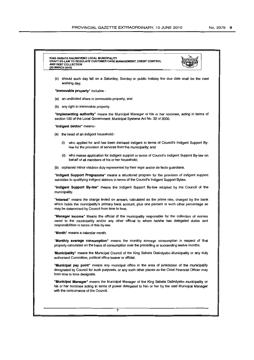# KING SABATA DAUNDYEBO LOCAL MUNICIPAUTY DRAFT BY-LAW TO REGULATE CUSTOMER CARE MANAGEMENT, CREDIT CONTROL<br>AND DEBT COLLECTION (25 MARCH 2010)



"Immovable property" includes -

- (a) an undivided share in immovable property, and
- (b) any right in immovable property.

"Implementing authority" means the Municipal Manager or his or her nominee, acting in terms of section 100 of the Local Government: Municipal Systems Act No. 32 of 2000.

"Indigent debtor" means:-

- (a) the head of an indigent household:-
	- (i) who applied for and has been declared indigent in terms of Council's Indigent Support Bylaw for the provision of services from the municipality; and
	- (ii) who makes application for indigent support in terms of Council's Indigent Support By-law on behalf of all members of his or her household;
- (b) orphaned minor children duly represented by their legal and/or de facto guardians.

"Indigent Support Programme" means a structured program for the provision of indigent support subsidies to qualifying indigent debtors in terms of the Council's Indigent Support Bylaw.

"Indigent Support By-law" means the Indigent Support By-law adopted by the Council of the municipality.

"Interest" means the charge levied on arrears, calculated as the prime rate, charged by the bank which holds the municipality's primary bank account, plus one percent or such other percentage as may be determined by Council from time to time.

"Manager Income" Means the official of the municipality responsible for the collection of monies owed to the municipality and/or any other official to whom he/she has delegated duties and responsibilities in terms of this by-law.

"Month" means a calendar month.

"Monthly average consumption" means the monthly average consumption in respect of that property calculated on the basis of consumption over the preceding or succeeding twelve months.

'Municipality" means the Municipal Council of the King sabata Dalindyebo Municipality or any duly authorised Committee, political office bearer or official.

"Municipal pay point" means any municipal office in the area of jurisdiction of the municipality designated by Council for such purposes, or any such other places as the Chief Financial Officer may from time to time designate.

"Municipal Manager" means the Municipal Manager of the King Sabata Dalindyebo municipality or his or her nominee acting in terms of power delegated to him or her by the said Municipal Manager with the concurrence of the Council.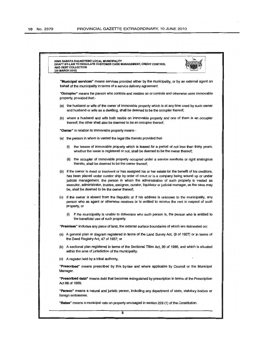| KING SABATA DALINDYEBO LOCAL MUNICIPALITY<br>DRAFT BY-LAW TO REGULATE CUSTOMER CARE MANAGEMENT, CREDIT CONTROL<br>AND DEBT COLLECTION<br>(25 MARCH 2010)                                                                                                                                                                                                                                                                                                      |
|---------------------------------------------------------------------------------------------------------------------------------------------------------------------------------------------------------------------------------------------------------------------------------------------------------------------------------------------------------------------------------------------------------------------------------------------------------------|
| "Municipal services" means services provided either by the municipality, or by an external agent on<br>behalf of the municipality in terms of a service delivery agreement.                                                                                                                                                                                                                                                                                   |
| "Occupier" means the person who controls and resides on or controls and otherwise uses immovable<br>property, provided that:-                                                                                                                                                                                                                                                                                                                                 |
| (a) the husband or wife of the owner of immovable property which is at any time used by such owner<br>and husband or wife as a dwelling, shall be deemed to be the occupier thereof;                                                                                                                                                                                                                                                                          |
| (b) where a husband and wife both reside on immovable property and one of them is an occupier<br>thereof; the other shall also be deemed to be an occupier thereof.                                                                                                                                                                                                                                                                                           |
| "Owner" in relation to immovable property means -                                                                                                                                                                                                                                                                                                                                                                                                             |
| (a) the person in whom is vested the legal title thereto provided that-                                                                                                                                                                                                                                                                                                                                                                                       |
| the lessee of immovable property which is leased for a period of not less than thirty years,<br>(i)<br>whether the lease is registered or not, shall be deemed to be the owner thereof;                                                                                                                                                                                                                                                                       |
| (ii) the occupier of immovable property occupied under a service servitude or right analogous<br>thereto, shall be deemed to be the owner thereof;                                                                                                                                                                                                                                                                                                            |
| (b) if the owner is dead or insolvent or has assigned his or her estate for the benefit of his creditors,<br>has been placed under curator ship by order of court or is a company being wound up or under<br>judicial management, the person in whom the administration of such property is vested as<br>executor, administrator, trustee, assignee, curator, liquidator or judicial manager, as the case may<br>be, shall be deemed to be the owner thereof; |
| (c) if the owner is absent from the Republic or if his address is unknown to the municipality, any<br>person who as agent or otherwise receives or is entitled to receive the rent in respect of such<br>property, or                                                                                                                                                                                                                                         |
| if the municipality is unable to determine who such person is, the person who is entitled to<br>(i)<br>the beneficial use of such property.                                                                                                                                                                                                                                                                                                                   |
| "Premises" includes any piece of land, the external surface boundaries of which are delineated on:                                                                                                                                                                                                                                                                                                                                                            |
| (a) A general plan or diagram registered in terms of the Land Survey Act, (9 of 1927) or in terms of<br>the Deed Registry Act, 47 of 1937; or                                                                                                                                                                                                                                                                                                                 |
| (b) A sectional plan registered in terms of the Sectional Titles Act, 95 of 1986, and which is situated<br>within the area of jurisdiction of the municipality.                                                                                                                                                                                                                                                                                               |
| (c) A register held by a tribal authority.                                                                                                                                                                                                                                                                                                                                                                                                                    |
| "Prescribed" means prescribed by this by-law and where applicable by Council or the Municipal<br>Manager.                                                                                                                                                                                                                                                                                                                                                     |
| "Prescribed debt" means debt that becomes extinguished by prescription in terms of the Prescription<br>Act 68 of 1969.                                                                                                                                                                                                                                                                                                                                        |
| "Person" means a natural and juristic person, including any department of state, statutory bodies or<br>foreign embassies.                                                                                                                                                                                                                                                                                                                                    |
| "Rates" means a municipal rate on property envisaged in section 229 (1) of the Constitution.                                                                                                                                                                                                                                                                                                                                                                  |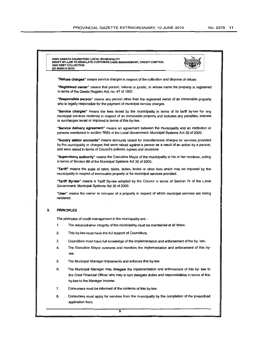KING SABATA DAUNDYEBO LOCAL MUNICIPAUlY DRAFT BY·LAW TO REGULATE CUSTOMER CARE MANAGEMENT, CREDIT CONTROL AND DEBT COLLECTION (25 MARCH 2010)



"Refuse charges" means service charges in respect of the collection and disposal of refuse.

"Registered owner" means that person, natural or juristic, in whose name the property is registered in terms of the Deeds Registry Act, no. 47 of 1937.

"Responsible person" means any person other than the registered owner of an immovable property who is legally responsible for the payment of municipal service charges.

"service charges" means the fees levied by the municipality in terms of its tariff by-law for any municipal services rendered in respect of an immovable property and includes any penalties, interest or surcharges levied or imposed in terms of this by-law.

"service delivery agreement" means an agreement between the municipality and an institution or persons mentioned in section 76(b) of the Local Govemment: Municipal Systems Act 32 of 2000.

"Sundry debtor accounts" means accounts raised for miscellaneous charges for services provided by the municipality or charges that were raised against a person as a result of an action by a person, and were raised in terms of Council's policies, bylaws and decisions

"Supervisory authority" means the Executive Mayor of the municipality or his or her nominee, acting in terms of Section 99 of the Municipal Systems Act 32 of 2000.

"Tariff" means the scale of rates, taxes, duties, levies or other fees which may be imposed by the municipality in respect of immovable property or for municipal services provided.

"Tariff By-law" means a Tariff By-law adopted by the Council in terms of Section 74 of the Local Government: Municipal Systems Act 32 of 2000.

"User" means the owner or occupier of a property in respect of which municipal services are being rendered.

#### 3. PRINCIPLES

The principles of credit management in the municipality are: -

- 1. The administrative integrity of the municipality must be maintained at all times.
- 2. This by-law must have the full support of Councillors.
- 3. Councillors must have full knowledge of the implementation and enforcement of the by- law.
- 4. The Executive Mayor oversees and monitors the implementation and enforcement of this bylaw.
- 5. The Municipal Manager implements and enforces this by-law.
- 6. The Municipal Manager may delegate the implementation and enforcement of this by- law to the Chief Financial Officer who may in turn delegate duties and responsibilities in terms of this by-law to the Manager Income.
- 7. Consumers must be informed of the contents of this by-law.
- 8. Consumers must apply for services from the municipality by the completion of the prescribed application form.

ত্র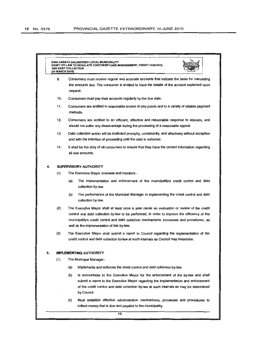|    | (25 MARCH 2010) | KING SABATA DALINDYEBO LOCAL MUNICIPALITY<br>DRAFT BY-LAW TO REGULATE CUSTOMER CARE MANAGEMENT, CREDIT CONTROL<br>AND DEBT COLLECTION                                                                                                                                                                                                   |
|----|-----------------|-----------------------------------------------------------------------------------------------------------------------------------------------------------------------------------------------------------------------------------------------------------------------------------------------------------------------------------------|
|    | 9.              | Consumers must receive regular and accurate accounts that indicate the basis for calculating<br>the amounts due. The consumer is entitled to have the details of the account explained upon<br>request.                                                                                                                                 |
|    | 10.             | Consumers must pay their accounts regularly by the due date.                                                                                                                                                                                                                                                                            |
|    | 11.             | Consumers are entitled to reasonable access to pay points and to a variety of reliable payment<br>methods.                                                                                                                                                                                                                              |
|    | 12.             | Consumers are entitled to an efficient, effective and reasonable response to appeals, and<br>should not suffer any disadvantage during the processing of a reasonable appeal.                                                                                                                                                           |
|    | 13.             | Debt collection action will be instituted promptly, consistently, and effectively without exception<br>and with the intention of proceeding until the debt is collected.                                                                                                                                                                |
|    | 14.             | It shall be the duty of all consumers to ensure that they have the correct information regarding<br>all due amounts.                                                                                                                                                                                                                    |
| 4. |                 | <b>SUPERVISORY AUTHORITY</b>                                                                                                                                                                                                                                                                                                            |
|    | (1)             | The Executive Mayor oversees and monitors -                                                                                                                                                                                                                                                                                             |
|    |                 | (a)<br>The implementation and enforcement of the municipality's credit control and debt<br>collection by-law.                                                                                                                                                                                                                           |
|    |                 | (b)<br>The performance of the Municipal Manager in implementing the credit control and debt<br>collection by-law.                                                                                                                                                                                                                       |
|    | (2)             | The Executive Mayor shall at least once a year cause an evaluation or review of the credit<br>control and debt collection by-law to be performed, in order to improve the efficiency of the<br>municipality's credit control and debt collection mechanisms, processes and procedures, as<br>well as the implementation of this by-law. |
|    | (3)             | The Executive Mayor shall submit a report to Council regarding the implementation of the<br>credit control and debt collection by-law at such intervals as Council may determine.                                                                                                                                                       |
| 5. |                 | <b>IMPLEMENTING AUTHORITY</b>                                                                                                                                                                                                                                                                                                           |
|    | (1)             | The Municipal Manager:-                                                                                                                                                                                                                                                                                                                 |
|    |                 | (a)<br>Implements and enforces the credit control and debt collection by-law.                                                                                                                                                                                                                                                           |
|    |                 | (b)<br>Is accountable to the Executive Mayor for the enforcement of the by-law and shall<br>submit a report to the Executive Mayor regarding the implementation and enforcement<br>of the credit control and debt collection by-law at such intervals as may be determined<br>by Council.                                               |
|    |                 | (c)<br>Must establish effective administration mechanisms, processes and procedures to<br>collect money that is due and payable to the municipality.                                                                                                                                                                                    |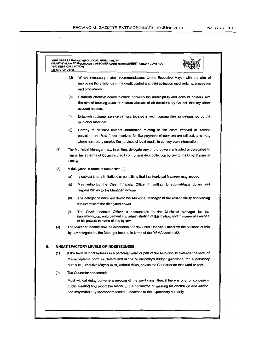$\bar{\lambda}$ 

| (25 MARCH 2010) | KING SABATA DALINDYEBO LOCAL MUNICIPALITY<br>DRAFT BY-LAW TO REGULATE CUSTOMER CARE MANAGEMENT, CREDIT CONTROL<br>AND DEBT COLLECTION                                                                                                                                                             |
|-----------------|---------------------------------------------------------------------------------------------------------------------------------------------------------------------------------------------------------------------------------------------------------------------------------------------------|
|                 | (d)<br>Where necessary make recommendations to the Executive Mayor with the aim of<br>improving the efficiency of the credit control and debt collection mechanisms, processes<br>and procedures.                                                                                                 |
|                 | (e)<br>Establish effective communication between the municipality and account holders with<br>the aim of keeping account holders abreast of all decisions by Council that my affect<br>account holders.                                                                                           |
|                 | (f)<br>Establish customer service centers, located in such communities as determined by the<br>municipal manager.                                                                                                                                                                                 |
|                 | Convey to account holders information relating to the costs involved in service<br>(g)<br>provision, and how funds received for the payment of services are utilised, and may<br>where necessary employ the services of local media to convey such information.                                   |
| (2)             | The Municipal Manager may, in writing, delegate any of the powers entrusted or delegated to<br>him or her in terms of Council's credit control and debt collection by-law to the Chief Financial<br>Officer.                                                                                      |
| (3)             | A delegation in terms of subsection (2) -                                                                                                                                                                                                                                                         |
|                 | Is subject to any limitations or conditions that the Municipal Manager may impose;<br>(a)                                                                                                                                                                                                         |
|                 | (b)<br>May authorise the Chief Financial Officer in writing, to sub-delegate duties and<br>responsibilities to the Manager Income.                                                                                                                                                                |
|                 | (c)<br>The delegation does not divest the Municipal Manager of the responsibility concerning<br>the exercise of the delegated power.                                                                                                                                                              |
|                 | (d)<br>The Chief Financial Officer is accountable to the Municipal Manager for the<br>implementation, enforcement and administration of this by-law, and the general exercise<br>of his powers in terms of this by-law.                                                                           |
| (4)             | The Manager income shall be accountable to the Chief Financial Officer for the sections of this<br>by-law delegated to the Manager Income in terms of the MFMA section 82.                                                                                                                        |
| 6.              | UNSATISFACTORY LEVELS OF INDEBTEDNESS                                                                                                                                                                                                                                                             |
| (1)             | If the level of indebtedness in a particular ward or part of the Municipality exceeds the level of<br>the acceptable norm as determined in the Municipality's budget guidelines, the supervisory<br>authority (Executive Mayor) must, without delay, advise the Councillor for that ward or part. |
| (2)             | The Councillor concerned:-                                                                                                                                                                                                                                                                        |
|                 | Must without delay convene a meeting of the ward committee, if there is one, or convene a<br>public meeting and report the matter to the committee or meeting for discussion and advice;<br>and may make any appropriate recommendations to the supervisory authority.                            |
|                 | 11                                                                                                                                                                                                                                                                                                |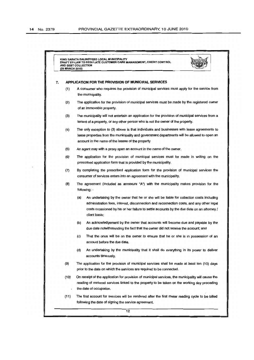|    | (25 MARCH 2010)                                     | KING SABATA DALINDYEBO LOCAL MUNICIPALITY<br>DRAFT BY-LAW TO REGULATE CUSTOMER CARE MANAGEMENT, CREDIT CONTROL<br>AND DEBT COLLECTION                                                                                                                                                                      |  |  |
|----|-----------------------------------------------------|------------------------------------------------------------------------------------------------------------------------------------------------------------------------------------------------------------------------------------------------------------------------------------------------------------|--|--|
| 7. | APPLICATION FOR THE PROVISION OF MUNICIPAL SERVICES |                                                                                                                                                                                                                                                                                                            |  |  |
|    | (1)                                                 | A consumer who requires the provision of municipal services must apply for the service from<br>the municipality.                                                                                                                                                                                           |  |  |
|    | (2)                                                 | The application for the provision of municipal services must be made by the registered owner<br>of an immovable property.                                                                                                                                                                                  |  |  |
|    | (3)                                                 | The municipality will not entertain an application for the provision of municipal services from a<br>tenant of a property, or any other person who is not the owner of the property.                                                                                                                       |  |  |
|    | (4)                                                 | The only exception to (3) above is that individuals and businesses with lease agreements to<br>lease properties from the municipality and government departments will be allowed to open an<br>account in the name of the lessee of the property                                                           |  |  |
|    | (5)                                                 | An agent may with a proxy open an account in the name of the owner.                                                                                                                                                                                                                                        |  |  |
|    | (6)                                                 | The application for the provision of municipal services must be made in writing on the<br>prescribed application form that is provided by the municipality.                                                                                                                                                |  |  |
|    | (7)                                                 | By completing the prescribed application form for the provision of municipal services the<br>consumer of services enters into an agreement with the municipality.                                                                                                                                          |  |  |
|    | (8)                                                 | The agreement (included as annexure "A") with the municipality makes provision for the<br>following: -                                                                                                                                                                                                     |  |  |
|    |                                                     | (a)<br>An undertaking by the owner that he or she will be liable for collection costs including<br>administration fees, interest, disconnection and reconnection costs, and any other legal<br>costs occasioned by his or her failure to settle accounts by the due date on an attorney /<br>client basis; |  |  |
|    |                                                     | (b)<br>An acknowledgement by the owner that accounts will become due and payable by the<br>due date notwithstanding the fact that the owner did not receive the account; and                                                                                                                               |  |  |
|    |                                                     | (c)<br>That the onus will be on the owner to ensure that he or she is in possession of an<br>account before the due date.                                                                                                                                                                                  |  |  |
|    |                                                     | (d)<br>An undertaking by the municipality that it shall do everything in its power to deliver<br>accounts timeously.                                                                                                                                                                                       |  |  |
|    | (9)                                                 | The application for the provision of municipal services shall be made at least ten (10) days<br>prior to the date on which the services are required to be connected.                                                                                                                                      |  |  |
|    | (10)                                                | On receipt of the application for provision of municipal services, the municipality will cause the<br>reading of metered services linked to the property to be taken on the working day preceding<br>the date of occupation.                                                                               |  |  |
|    | (11)                                                | The first account for services will be rendered after the first meter reading cycle to be billed<br>following the date of signing the service agreement.                                                                                                                                                   |  |  |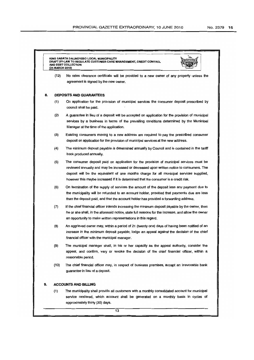|    | KING SABATA DALINDYEBO LOCAL MUNICIPALITY<br>DRAFT BY-LAW TO REGULATE CUSTOMER CARE MANAGEMENT, CREDIT CONTROL<br>AND DEBT COLLECTION<br>(25 MARCH 2010) |                                                                                                                                                                                                                                                                                                                                                                           |  |  |  |  |  |
|----|----------------------------------------------------------------------------------------------------------------------------------------------------------|---------------------------------------------------------------------------------------------------------------------------------------------------------------------------------------------------------------------------------------------------------------------------------------------------------------------------------------------------------------------------|--|--|--|--|--|
|    | (12)                                                                                                                                                     | No rates clearance certificate will be provided to a new owner of any property unless the<br>agreement is signed by the new owner.                                                                                                                                                                                                                                        |  |  |  |  |  |
| 8. | <b>DEPOSITS AND GUARANTEES</b>                                                                                                                           |                                                                                                                                                                                                                                                                                                                                                                           |  |  |  |  |  |
|    | (1)                                                                                                                                                      | On application for the provision of municipal services the consumer deposit prescribed by<br>council shall be paid.                                                                                                                                                                                                                                                       |  |  |  |  |  |
|    | (2)                                                                                                                                                      | A guarantee in lieu of a deposit will be accepted on application for the provision of municipal<br>services by a business in terms of the prevailing conditions determined by the Municipal<br>Manager at the time of the application.                                                                                                                                    |  |  |  |  |  |
|    | (3)                                                                                                                                                      | Existing consumers moving to a new address are required to pay the prescribed consumer<br>deposit on application for the provision of municipal services at the new address.                                                                                                                                                                                              |  |  |  |  |  |
|    | (4)                                                                                                                                                      | The minimum deposit payable is determined annually by Council and is contained in the tariff<br>book produced annually.                                                                                                                                                                                                                                                   |  |  |  |  |  |
|    | (5)                                                                                                                                                      | The consumer deposit paid on application for the provision of municipal services must be<br>reviewed annually and may be increased or decreased upon written notice to consumers. The<br>deposit will be the equivalent of one months charge for all municipal services supplied,<br>however this maybe increased if it is determined that the consumer is a credit risk. |  |  |  |  |  |
|    | (6)                                                                                                                                                      | On termination of the supply of services the amount of the deposit less any payment due to<br>the municipality will be refunded to an account holder, provided that payments due are less<br>than the deposit paid, and that the account holder has provided a forwarding address.                                                                                        |  |  |  |  |  |
|    | (7)                                                                                                                                                      | If the chief financial officer intends increasing the minimum deposit payable by the owner, then<br>he or she shall, in the aforesaid notice, state full reasons for the increase, and allow the owner<br>an opportunity to make written representations in this regard.                                                                                                  |  |  |  |  |  |
|    | (8)                                                                                                                                                      | An aggrieved owner may, within a period of 21 (twenty one) days of having been notified of an<br>increase in the minimum deposit payable, lodge an appeal against the decision of the chief<br>financial officer with the municipal manager.                                                                                                                              |  |  |  |  |  |
|    | (9)                                                                                                                                                      | The municipal manager shall, in his or her capacity as the appeal authority, consider the<br>appeal, and confirm, vary or revoke the decision of the chief financial officer, within a<br>reasonable period.                                                                                                                                                              |  |  |  |  |  |
|    | (10)                                                                                                                                                     | The chief financial officer may, in respect of business premises, accept an irrevocable bank<br>guarantee in lieu of a deposit.                                                                                                                                                                                                                                           |  |  |  |  |  |
| 9. |                                                                                                                                                          | <b>ACCOUNTS AND BILLING</b>                                                                                                                                                                                                                                                                                                                                               |  |  |  |  |  |
|    | (1)                                                                                                                                                      | The municipality shall provide all customers with a monthly consolidated account for municipal<br>service rendered, which account shall be generated on a monthly basis in cycles of<br>approximately thirty (30) days.                                                                                                                                                   |  |  |  |  |  |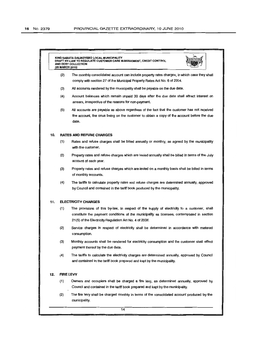|     | (25 MARCH 2010) | KING SABATA DALINDYEBO LOCAL MUNICIPALITY<br>DRAFT BY-LAW TO REGULATE CUSTOMER CARE MANAGEMENT, CREDIT CONTROL<br>AND DEBT COLLECTION                                                                                                               |
|-----|-----------------|-----------------------------------------------------------------------------------------------------------------------------------------------------------------------------------------------------------------------------------------------------|
|     | (2)             | The monthly consolidated account can include property rates charges, in which case they shall<br>comply with section 27 of the Municipal Property Rates Act No. 6 of 2004.                                                                          |
|     | (3)             | All accounts rendered by the municipality shall be payable on the due date.                                                                                                                                                                         |
|     | (4)             | Account balances which remain unpaid 30 days after the due date shall attract interest on<br>arrears, irrespective of the reasons for non-payment.                                                                                                  |
|     | (5)             | All accounts are payable as above regardless of the fact that the customer has not received<br>the account, the onus being on the customer to obtain a copy of the account before the due<br>date.                                                  |
| 10. |                 | <b>RATES AND REFUSE CHARGES</b>                                                                                                                                                                                                                     |
|     | (1)             | Rates and refuse charges shall be billed annually or monthly, as agreed by the municipality<br>with the customer.                                                                                                                                   |
|     | (2)             | Property rates and refuse charges which are levied annually shall be billed in terms of the July<br>account of each year.                                                                                                                           |
|     | (3)             | Property rates and refuse charges which are levied on a monthly basis shall be billed in terms<br>of monthly accounts.                                                                                                                              |
|     | (4)             | The tariffs to calculate property rates and refuse charges are determined annually, approved<br>by Council and contained in the tariff book produced by the municipality.                                                                           |
| 11. |                 | <b>ELECTRICITY CHARGES</b>                                                                                                                                                                                                                          |
|     | (1)             | The provisions of this by-law, in respect of the supply of electricity to a customer, shall<br>constitute the payment conditions of the municipality as licensee, contemplated in section<br>21(5) of the Electricity Regulation Act No. 4 of 2006. |
|     | (2)             | Service charges in respect of electricity shall be determined in accordance with metered<br>consumption.                                                                                                                                            |
|     | (3)             | Monthly accounts shall be rendered for electricity consumption and the customer shall effect<br>payment thereof by the due date.                                                                                                                    |
|     | (4)             | The tariffs to calculate the electricity charges are determined annually, approved by Council<br>and contained in the tariff book prepared and kept by the municipality.                                                                            |
| 12. |                 | <b>FIRE LEVY</b>                                                                                                                                                                                                                                    |
|     | (1)             | Owners and occupiers shall be charged a fire levy, as determined annually, approved by<br>Council and contained in the tariff book prepared and kept by the municipality.                                                                           |
|     | (2)             | The fire levy shall be charged monthly in terms of the consolidated account produced by the<br>municipality.                                                                                                                                        |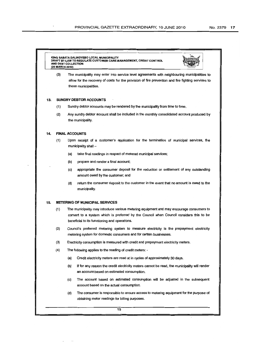#### KING SABATA DAUNDYEBO LOCAL MUNICIPAUTY DRAFT BY-LAW TO REGU LATE CUSTOMER CARE MANAGEMENT, CREDIT CONTROL AND DEBT COLLECTION (25 MARCH 2010)



(3) The municipality may enter into service level agreements with neighbouring municipalities to allow for the recovery of.costs for the provision of fire prevention and fire fighting services to these municipalities.

#### 13. **SUNDRY DEBTOR ACCOUNTS**

- (1) Sundry debtor accounts may be rendered by the municipality from time to time.
- (2) Any sundry debtor account shall be included in the monthly consolidated account produced by the municipality.

### 14. **FINAL ACCOUNTS**

- (1 ) Upon receipt of a customer's application for the termination of municipal services, the municipality shall -
	- (a) take final readings in respect of metered municipal services;
	- (b) prepare and render a final account;
	- (c) appropriate the consumer deposit for the reduction or settlement of any outstanding amount owed by the customer; and
	- (d) return the consumer deposit to the customer in the event that no amount is owed to the municipality.

#### 15. **METERING OF MUNICIPAL SERVICES**

- (1) The municipality may introduce various metering equipment and may encourage consumers to convert to a system which is preferred by the Council when Council considers this to be beneficial to its functioning and operations.
- (2) Council's preferred metering system to measure electricity is the prepayment electricity metering system for domestic consumers and for certain businesses.
- (3) Electricity consumption is measured with credit and prepayment electricity meters.
- (4) The following applies to the reading of credit meters:
	- (a) Credit electricity meters are read at in cycles of approximately 30 days.
	- (b) If for any reason the credit electricity meters cannot be read, the municipality will render an account based on estimated consumption.
	- (c) The account based on estimated consumption will be adjusted in the subsequent account based on the actual consumption.
	- (d) The consumer is responsible to ensure access to metering equipment for the purpose of obtaining meter readings for billing purposes.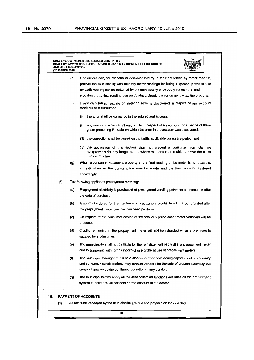| 16. | (1)                                           |     | <b>PAYMENT OF ACCOUNTS</b><br>All accounts rendered by the municipality are due and payable on the due date.                                                                                                                                    |
|-----|-----------------------------------------------|-----|-------------------------------------------------------------------------------------------------------------------------------------------------------------------------------------------------------------------------------------------------|
|     |                                               | (g) | The municipality may apply all the debt collection functions available on the prepayment<br>system to collect all arrear debt on the account of the debtor.                                                                                     |
|     |                                               | (f) | The Municipal Manager at his sole discretion after considering aspects such as security<br>and consumer considerations may appoint vendors for the sale of prepaid electricity but<br>does not guarantee the continued operation of any vendor. |
|     |                                               | (e) | The municipality shall not be liable for the reinstatement of credit in a prepayment meter<br>due to tampering with, or the incorrect use or the abuse of prepayment meters.                                                                    |
|     |                                               | (d) | Credits remaining in the prepayment meter will not be refunded when a premises is<br>vacated by a consumer.                                                                                                                                     |
|     |                                               | (c) | On request of the consumer copies of the previous prepayment meter vouchers will be<br>produced.                                                                                                                                                |
|     |                                               | (b) | Amounts tendered for the purchase of prepayment electricity will not be refunded after<br>the prepayment meter voucher has been produced.                                                                                                       |
|     |                                               | (a) | Prepayment electricity is purchased at prepayment vending points for consumption after<br>the date of purchase.                                                                                                                                 |
|     | (5)                                           |     | The following applies to prepayment metering: -                                                                                                                                                                                                 |
|     |                                               | (g) | When a consumer vacates a property and a final reading of the meter is not possible,<br>an estimation of the consumption may be made and the final account rendered<br>accordingly.                                                             |
|     |                                               |     | (iv) the application of this section shall not prevent a consumer from claiming<br>overpayment for any longer period where the consumer is able to prove the claim<br>in a court of law.                                                        |
|     |                                               |     | (iii) the correction shall be based on the tariffs applicable during the period, and                                                                                                                                                            |
|     |                                               |     | any such correction shall only apply in respect of an account for a period of three<br>(i)<br>years preceding the date on which the error in the account was discovered,                                                                        |
|     |                                               |     | (i)<br>the error shall be corrected in the subsequent account,                                                                                                                                                                                  |
|     |                                               | (f) | If any calculation, reading or metering error is discovered in respect of any account<br>rendered to a consumer-                                                                                                                                |
|     |                                               |     | provided that a final reading can be obtained should the consumer vacate the property.                                                                                                                                                          |
|     |                                               |     | provide the municipality with monthly meter readings for billing purposes, provided that<br>an audit reading can be obtained by the municipality once every six months and                                                                      |
|     |                                               | (e) | Consumers can, for reasons of non-accessibility to their properties by meter readers,                                                                                                                                                           |
|     | <b>AND DEBT COLLECTION</b><br>(25 MARCH 2010) |     | DRAFT BY-LAW TO REGULATE CUSTOMER CARE MANAGEMENT, CREDIT CONTROL                                                                                                                                                                               |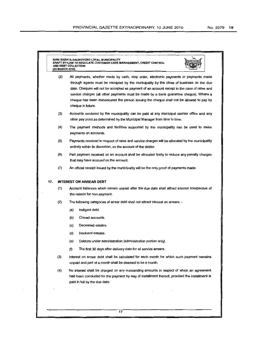|     | (2)                            | All payments, whether made by cash, stop order, electronic payments or payments made                                                                                                                                       |  |  |  |
|-----|--------------------------------|----------------------------------------------------------------------------------------------------------------------------------------------------------------------------------------------------------------------------|--|--|--|
|     |                                | through agents must be receipted by the municipality by the close of business on the due                                                                                                                                   |  |  |  |
|     |                                | date. Cheques will not be accepted as payment of an account except in the case of rates and                                                                                                                                |  |  |  |
|     |                                | service charges (all other payments must be made by a bank guarantee cheque). Where a<br>cheque has been dishonoured the person issuing the cheque shall not be allowed to pay by<br>cheque in future.                     |  |  |  |
|     | (3)                            | Accounts rendered by the municipality can be paid at any municipal cashier office and any<br>other pay point as determined by the Municipal Manager from time to time.                                                     |  |  |  |
|     | (4)                            | The payment methods and facilities supported by the municipality can be used to make<br>payments on accounts.                                                                                                              |  |  |  |
|     | (5)                            | Payments received in respect of rates and service charges will be allocated by the municipality<br>entirely within its discretion, on the account of the debtor.                                                           |  |  |  |
|     | (6)                            | Part payment received on an account shall be allocated firstly to reduce any penalty charges<br>that may have accrued on the account.                                                                                      |  |  |  |
|     | (7)                            | An official receipt issued by the municipality will be the only proof of payments made.                                                                                                                                    |  |  |  |
| 17. | <b>INTEREST ON ARREAR DEBT</b> |                                                                                                                                                                                                                            |  |  |  |
|     | (1)                            | Account balances which remain unpaid after the due date shall attract interest irrespective of<br>the reason for non-payment.                                                                                              |  |  |  |
|     | (2)                            | The following categories of arrear debt shall not attract interest on arrears: -                                                                                                                                           |  |  |  |
|     |                                | (a)<br>Indigent debt.                                                                                                                                                                                                      |  |  |  |
|     |                                | Closed accounts.<br>(b)                                                                                                                                                                                                    |  |  |  |
|     |                                | Deceased estates.<br>(c)                                                                                                                                                                                                   |  |  |  |
|     |                                | (d)<br>Insolvent estates.                                                                                                                                                                                                  |  |  |  |
|     |                                | Debtors under administration (administration portion only).<br>(e)                                                                                                                                                         |  |  |  |
|     |                                | The first 30 days after delivery date for all service arrears.<br>(f)                                                                                                                                                      |  |  |  |
|     | (3)                            | Interest on arrear debt shall be calculated for each month for which such payment remains<br>unpaid and part of a month shall be deemed to be a month.                                                                     |  |  |  |
|     | (4)                            | No interest shall be charged on any outstanding amounts in respect of which an agreement<br>had been concluded for the payment by way of installment thereof, provided the installment is<br>paid in full by the due date. |  |  |  |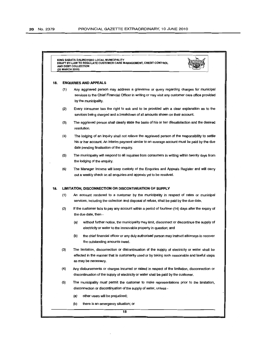|     |                                                        | DRAFT BY-LAW TO REGULATE CUSTOMER CARE MANAGEMENT, CREDIT CONTROL<br>AND DEBT COLLECTION<br>(25 MARCH 2010)                                                                                                                                   |  |  |  |  |
|-----|--------------------------------------------------------|-----------------------------------------------------------------------------------------------------------------------------------------------------------------------------------------------------------------------------------------------|--|--|--|--|
| 18. | <b>ENQUIRIES AND APPEALS</b>                           |                                                                                                                                                                                                                                               |  |  |  |  |
|     | (1)                                                    | Any aggrieved person may address a grievance or query regarding charges for municipal<br>services to the Chief Financial Officer in writing or may visit any customer care office provided<br>by the municipality.                            |  |  |  |  |
|     | (2)                                                    | Every consumer has the right to ask and to be provided with a clear explanation as to the<br>services being charged and a breakdown of all amounts shown on their account.                                                                    |  |  |  |  |
|     | (3)                                                    | The aggrieved person shall clearly state the basis of his or her dissatisfaction and the desired<br>resolution.                                                                                                                               |  |  |  |  |
|     | (4)                                                    | The lodging of an inquiry shall not relieve the aggrieved person of the responsibility to settle<br>his or her account. An interim payment similar to an average account must be paid by the due<br>date pending finalisation of the enquiry. |  |  |  |  |
|     | (5)                                                    | The municipality will respond to all inquiries from consumers in writing within twenty days from<br>the lodging of the enquiry.                                                                                                               |  |  |  |  |
|     | (6)                                                    | The Manager Income will keep custody of the Enquiries and Appeals Register and will carry<br>out a weekly check on all enquiries and appeals yet to be resolved.                                                                              |  |  |  |  |
| 19. | LIMITATION, DISCONNECTION OR DISCONTINUATION OF SUPPLY |                                                                                                                                                                                                                                               |  |  |  |  |
|     | (1)                                                    | An account rendered to a customer by the municipality in respect of rates or municipal<br>services, including the collection and disposal of refuse, shall be paid by the due date.                                                           |  |  |  |  |
|     | (2)                                                    | If the customer fails to pay any account within a period of fourteen (14) days after the expiry of<br>the due date, then -                                                                                                                    |  |  |  |  |
|     |                                                        | (a)<br>without further notice, the municipality may limit, disconnect or discontinue the supply of<br>electricity or water to the immovable property in question; and                                                                         |  |  |  |  |
|     |                                                        | (b)<br>the chief financial officer or any duly authorised person may instruct attorneys to recover<br>the outstanding amounts owed.                                                                                                           |  |  |  |  |
|     | (3)                                                    | The limitation, disconnection or discontinuation of the supply of electricity or water shall be<br>effected in the manner that is customarily used or by taking such reasonable and lawful steps<br>as may be necessary.                      |  |  |  |  |
|     | (4)                                                    | Any disbursements or charges incurred or raised in respect of the limitation, disconnection or<br>discontinuation of the supply of electricity or water shall be paid by the customer.                                                        |  |  |  |  |
|     | (5)                                                    | The municipality must permit the customer to make representations prior to the limitation,<br>disconnection or discontinuation of the supply of water, unless -                                                                               |  |  |  |  |
|     |                                                        | (a)<br>other users will be prejudiced;                                                                                                                                                                                                        |  |  |  |  |
|     |                                                        | (b)<br>there is an emergency situation; or                                                                                                                                                                                                    |  |  |  |  |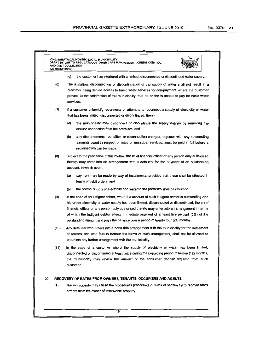|     | (25 MARCH 2010)                                              |                                                                                                                                                                                                                                                                                                                                                                                                                                                                                          |  |  |  |
|-----|--------------------------------------------------------------|------------------------------------------------------------------------------------------------------------------------------------------------------------------------------------------------------------------------------------------------------------------------------------------------------------------------------------------------------------------------------------------------------------------------------------------------------------------------------------------|--|--|--|
|     |                                                              | (c)<br>the customer has interfered with a limited, disconnected or discontinued water supply.                                                                                                                                                                                                                                                                                                                                                                                            |  |  |  |
|     | (6)                                                          | The limitation, disconnection or discontinuation of the supply of water shall not result in a<br>customer being denied access to basic water services for non-payment, where the customer<br>proves, to the satisfaction of the municipality, that he or she is unable to pay for basic water<br>services.                                                                                                                                                                               |  |  |  |
|     | (7)                                                          | If a customer unlawfully reconnects or attempts to reconnect a supply of electricity or water<br>that has been limited, disconnected or discontinued, then -                                                                                                                                                                                                                                                                                                                             |  |  |  |
|     |                                                              | (a)<br>the municipality may disconnect or discontinue the supply entirely by removing the<br>service connection from the premises; and                                                                                                                                                                                                                                                                                                                                                   |  |  |  |
|     |                                                              | (b)<br>any disbursements, penalties or reconnection charges, together with any outstanding<br>amounts owed in respect of rates or municipal services, must be paid in full before a<br>reconnection can be made.                                                                                                                                                                                                                                                                         |  |  |  |
|     | (8)                                                          | Subject to the provisions of this by-law, the chief financial officer or any person duly authorised<br>thereto may enter into an arrangement with a defaulter for the payment of an outstanding<br>account, in which event -                                                                                                                                                                                                                                                             |  |  |  |
|     |                                                              | (a)<br>payment may be made by way of instalments, provided that these shall be effected in<br>terms of debit orders; and                                                                                                                                                                                                                                                                                                                                                                 |  |  |  |
|     |                                                              | (b)<br>the normal supply of electricity and water to the premises shall be resumed.                                                                                                                                                                                                                                                                                                                                                                                                      |  |  |  |
|     | (9)                                                          | In the case of an indigent debtor, when the account of such indigent debtor is outstanding and<br>his or her electricity or water supply has been limited, disconnected or discontinued, the chief<br>financial officer or any person duly authorised thereto may enter into an arrangement in terms<br>of which the indigent debtor effects immediate payment of at least five percent (5%) of the<br>outstanding amount and pays the balance over a period of twenty four (24) months. |  |  |  |
|     | (10)                                                         | Any defaulter who enters into a bona fide arrangement with the municipality for the settlement<br>of arrears, and who fails to honour the terms of such arrangement, shall not be allowed to<br>enter into any further arrangement with the municipality.                                                                                                                                                                                                                                |  |  |  |
|     | (11)                                                         | In the case of a customer where the supply of electricity or water has been limited,<br>disconnected or discontinued at least twice during the preceding period of twelve (12) months,<br>the municipality may review the amount of the consumer deposit required from such<br>customer.'                                                                                                                                                                                                |  |  |  |
| 20. | RECOVERY OF RATES FROM OWNERS, TENANTS, OCCUPIERS AND AGENTS |                                                                                                                                                                                                                                                                                                                                                                                                                                                                                          |  |  |  |
|     | (1)                                                          | The municipality may utilise the procedures prescribed in terms of section 19 to recover rates<br>arrears from the owner of immovable property.                                                                                                                                                                                                                                                                                                                                          |  |  |  |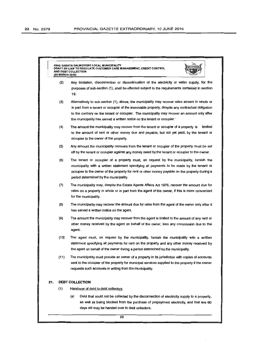|     | KING SABATA DALINDYEBO LOCAL MUNICIPALITY<br>DRAFT BY-LAW TO REGULATE CUSTOMER CARE MANAGEMENT, CREDIT CONTROL<br>AND DEBT COLLECTION<br>(25 MARCH 2010)                                                                                                                                                                                                                              |  |  |  |  |
|-----|---------------------------------------------------------------------------------------------------------------------------------------------------------------------------------------------------------------------------------------------------------------------------------------------------------------------------------------------------------------------------------------|--|--|--|--|
|     | (2)<br>Any limitation, disconnection or discontinuation of the electricity or water supply, for the<br>purposes of sub-section (1), shall be effected subject to the requirements contained in section<br>19.                                                                                                                                                                         |  |  |  |  |
|     | (3)<br>Alternatively to sub-section (1), above, the municipality may recover rates arrears in whole or<br>in part from a tenant or occupier of the immovable property, despite any contractual obligation<br>to the contrary on the tenant or occupier. The municipality may recover an amount only after<br>the municipality has served a written notice on the tenant or occupier." |  |  |  |  |
|     | (4)<br>The amount the municipality may recover from the tenant or occupier of a property is<br>limited<br>to the amount of rent or other money due and payable, but not yet paid, by the tenant or<br>occupier to the owner of the property.                                                                                                                                          |  |  |  |  |
|     | (5)<br>Any amount the municipality recovers from the tenant or occupier of the property must be set<br>off by the tenant or occupier against any money owed by the tenant or occupier to the owner.                                                                                                                                                                                   |  |  |  |  |
|     | (6)<br>The tenant or occupier of a property must, on request by the municipality, furnish the<br>municipality with a written statement specifying all payments to be made by the tenant or<br>occupier to the owner of the property for rent or other money payable on the property during a<br>period determined by the municipality.                                                |  |  |  |  |
|     | (7)<br>The municipality may, despite the Estate Agents Affairs Act 1976, recover the amount due for<br>rates on a property in whole or in part from the agent of the owner, if this is more convenient<br>for the municipality.                                                                                                                                                       |  |  |  |  |
|     | (8)<br>The municipality may recover the amount due for rates from the agent of the owner only after it<br>has served a written notice on the agent.                                                                                                                                                                                                                                   |  |  |  |  |
|     | (9)<br>The amount the municipality may recover from the agent is limited to the amount of any rent or<br>other money received by the agent on behalf of the owner, less any commission due to the<br>agent.                                                                                                                                                                           |  |  |  |  |
|     | (10)<br>The agent must, on request by the municipality, furnish the municipality with a written<br>statement specifying all payments for rent on the property and any other money received by<br>the agent on behalf of the owner during a period determined by the municipality.                                                                                                     |  |  |  |  |
|     | (11)<br>The municipality must provide an owner of a property in its jurisdiction with copies of accounts<br>sent to the occupier of the property for municipal services supplied to the property if the owner<br>requests such accounts in writing from the municipality.                                                                                                             |  |  |  |  |
| 21. | DEBT COLLECTION                                                                                                                                                                                                                                                                                                                                                                       |  |  |  |  |
| (1) | Handover of debt to debt collectors                                                                                                                                                                                                                                                                                                                                                   |  |  |  |  |
|     | (a)<br>Debt that could not be collected by the disconnection of electricity supply to a property,<br>as well as being blocked from the purchase of prepayment electricity, and that are 60<br>days old may be handed over to debt collectors.                                                                                                                                         |  |  |  |  |
|     | 20                                                                                                                                                                                                                                                                                                                                                                                    |  |  |  |  |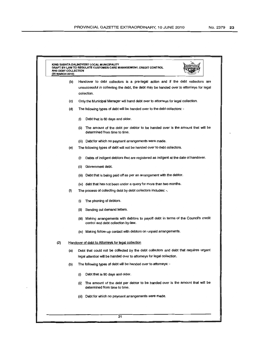п

| (25 MARCH 2010) |     |                                                                                                                               |  |  |
|-----------------|-----|-------------------------------------------------------------------------------------------------------------------------------|--|--|
|                 | (b) | Handover to debt collectors is a pre-legal action and if the debt collectors are                                              |  |  |
|                 |     | unsuccessful in collecting the debt, the debt may be handed over to attorneys for legal                                       |  |  |
|                 |     | collection.                                                                                                                   |  |  |
|                 | (c) | Only the Municipal Manager will hand debt over to attorneys for legal collection.                                             |  |  |
|                 | (d) | The following types of debt will be handed over to the debt collectors: -                                                     |  |  |
|                 |     | (i)<br>Debt that is 60 days and older.                                                                                        |  |  |
|                 |     | The amount of the debt per debtor to be handed over is the amount that will be<br>(ii)<br>determined from time to time.       |  |  |
|                 |     | (iii) Debt for which no payment arrangements were made.                                                                       |  |  |
|                 | (e) | The following types of debt will not be handed over to debt collectors.                                                       |  |  |
|                 |     | Debts of indigent debtors that are registered as indigent at the date of handover.<br>(i)                                     |  |  |
|                 |     | Government debt.<br>(ii)                                                                                                      |  |  |
|                 |     | (iii) Debt that is being paid off as per an arrangement with the debtor.                                                      |  |  |
|                 |     | (iv) debt that has not been under a query for more than two months.                                                           |  |  |
|                 | (f) | The process of collecting debt by debt collectors includes: -.                                                                |  |  |
|                 |     | The phoning of debtors.<br>(i)                                                                                                |  |  |
|                 |     | Sending out demand letters.<br>(ii)                                                                                           |  |  |
|                 |     | (iii) Making arrangements with debtors to payoff debt in terms of the Council's credit<br>control and debt collection by-law. |  |  |
|                 |     | (iv) Making follow-up contact with debtors on unpaid arrangements.                                                            |  |  |
| (2)             |     | Handover of debt to Attorneys for legal collection                                                                            |  |  |
|                 | (a) | Debt that could not be collected by the debt collectors and debt that requires urgent                                         |  |  |
|                 |     | legal attention will be handed over to attomeys for legal collection.                                                         |  |  |
|                 | (b) | The following types of debt will be handed over to attorneys: -                                                               |  |  |
|                 |     | Debt that is 90 days and older.<br>(i)                                                                                        |  |  |
|                 |     | The amount of the debt per debtor to be handed over is the amount that will be<br>(ii)<br>determined from time to time.       |  |  |
|                 |     | (iii) Debt for which no payment arrangements were made.                                                                       |  |  |
|                 |     |                                                                                                                               |  |  |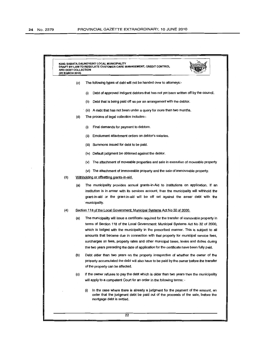| AND DEBT COLLECTION<br>(25 MARCH 2010) |     | DRAFT BY-LAW TO REGULATE CUSTOMER CARE MANAGEMENT, CREDIT CONTROL                                                                                                                                                                                                                                                                                                                                                                                                                                                                                           |
|----------------------------------------|-----|-------------------------------------------------------------------------------------------------------------------------------------------------------------------------------------------------------------------------------------------------------------------------------------------------------------------------------------------------------------------------------------------------------------------------------------------------------------------------------------------------------------------------------------------------------------|
|                                        | (c) | The following types of debt will not be handed over to attomeys:-                                                                                                                                                                                                                                                                                                                                                                                                                                                                                           |
|                                        |     | Debt of approved indigent debtors that has not yet been written off by the council.<br>(i)                                                                                                                                                                                                                                                                                                                                                                                                                                                                  |
|                                        |     | Debt that is being paid off as per an arrangement with the debtor.<br>(ii)                                                                                                                                                                                                                                                                                                                                                                                                                                                                                  |
|                                        |     | (iii) A debt that has not been under a query for more than two months.                                                                                                                                                                                                                                                                                                                                                                                                                                                                                      |
|                                        | (d) | The process of legal collection includes:-                                                                                                                                                                                                                                                                                                                                                                                                                                                                                                                  |
|                                        |     | Final demands for payment to debtors.<br>(i)                                                                                                                                                                                                                                                                                                                                                                                                                                                                                                                |
|                                        |     | Emolument attachment orders on debtor's salaries.<br>(ii)                                                                                                                                                                                                                                                                                                                                                                                                                                                                                                   |
|                                        |     | Summons issued for debt to be paid.<br>(iii)                                                                                                                                                                                                                                                                                                                                                                                                                                                                                                                |
|                                        |     | (iv) Default judgment be obtained against the debtor.                                                                                                                                                                                                                                                                                                                                                                                                                                                                                                       |
|                                        |     | The attachment of moveable properties and sale in execution of moveable property<br>(v)                                                                                                                                                                                                                                                                                                                                                                                                                                                                     |
|                                        |     | (vi) The attachment of immoveable property and the sale of immoveable property.                                                                                                                                                                                                                                                                                                                                                                                                                                                                             |
| (3)                                    |     | Withholding or offsetting grants-in-aid.                                                                                                                                                                                                                                                                                                                                                                                                                                                                                                                    |
|                                        | (a) | The municipality provides annual grants-in-Aid to Institutions on application. If an<br>institution is in arrear with its services account, then the municipality will withhold the<br>grant-in-aid or the grant-in-aid will be off set against the arrear debt with the<br>municipality.                                                                                                                                                                                                                                                                   |
| (4)                                    |     | Section 118 of the Local Government: Municipal Systems Act No 32 of 2000.                                                                                                                                                                                                                                                                                                                                                                                                                                                                                   |
|                                        | (a) | The municipality will issue a certificate required for the transfer of immovable property in<br>terms of Section 118 of the Local Government: Municipal Systems Act No 32 of 2000,<br>which is lodged with the municipality in the prescribed manner. This is subject to all<br>amounts that became due in connection with that property for municipal service fees,<br>surcharges on fees, property rates and other municipal taxes, levies and duties during<br>the two years preceding the date of application for the certificate have been fully paid. |
|                                        | (b) | Debt older than two years on the property irrespective of whether the owner of the<br>property accumulated the debt will also have to be paid by the owner before the transfer<br>of the property can be affected.                                                                                                                                                                                                                                                                                                                                          |
|                                        | (c) | If the owner refuses to pay the debt which is older than two years then the municipality<br>will apply to a competent Court for an order in the following terms: -                                                                                                                                                                                                                                                                                                                                                                                          |
|                                        |     | In the case where there is already a judgment for the payment of the amount, an<br>(i)<br>order that the judgment debt be paid out of the proceeds of the sale, before the<br>mortgage debt is settled.                                                                                                                                                                                                                                                                                                                                                     |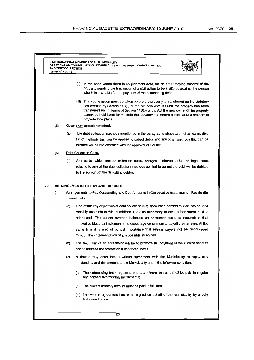#### KING SABATA DALINDYEBO LOCAL MUNICIPALITY<br>DRAFT BY-LAW TO REGULATE CUSTOMER CARE MANAGEMENT, CREDIT CONTROL AND DEBT COLLECTION (25 MARCH 2010)



- (ii) In the case where there is no judgment debt, for an order staying transfer of the property pending the finalisation of a civil action to be instituted against the person who is in law liable for the payment of the outstanding debt.
- (iii) The above action must be taken before the property is transferred as the statutory lien created by Section 118(3) of the Act only endures until the property has been transferred and in terms of Section 118(5) of the Act the new owner of the property cannot be held liable for the debt that became due before a transfer of a residential property took place.
- (5) Other debt collection methods
	- (a) The debt collection methods mentioned in the paragraphs above are not an exhaustive list of methods that can be applied to collect debts and any other methods that can be initiated will be implemented with the approval of Council.
- (6) Debt Collection Costs
	- (a) Any costs, which include collection costs, charges, disbursements and legal costs relating to any of the debt collection methods applied to collect the debt will be debited to the account of the defaulting debtor.

#### 22. ARRANGEMENTS TO PAY ARREAR DEBT

- (1) Arrangements toPav Outstanding and Due Amounts in Consecutive Installments Residential **Households** 
	- (a) One of the key objectives of debt collection is to encourage debtors to start paying their monthly accounts in full. In addition it is also necessary to ensure that arrear debt is addressed. The current average balances on consumer accounts necessitate that innovative ideas be implemented to encourage consumers to payoff their arrears. At the same time it is also of utmost importance that regular payers not be discouraged through the implementation of any possible incentives.
	- (b) The main aim of an agreement will be to promote full payment of the current account and to address the arrears on a consistent basis.
	- (c) A debtor may enter into a written agreement with the Municipality to repay any outstanding and due amount to the Municipality under the following conditions:-
		- (i) The outstanding balance, costs and any interest thereon shall be paid in regular and consecutive monthly installments;
		- (ii) The current monthly amount must be paid in full; and
		- (iii) The written agreement has to be signed on behalf of the Municipality by a duly authorised officer.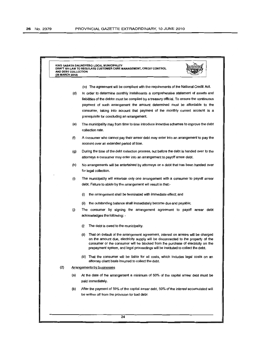KING SABATA DAUNDYEBO LOCAL MUNICIPAUTV DRAFT BY-LAW TO REGULATE CUSTOMER CARE MANAGEMENT, CREDIT CONTROL AND DEBT COLLECTlON (25 MARCH 2010)



- (iv) The agreement will be compliant with the requirements of the National Credit Act.
- (d) In order to determine monthly installments a comprehensive statement of assets and liabilities of the debtor must be compiled by a treasury official. To ensure the continuous payment of such arrangement the amount determined must be affordable to the consumer, taking into account that payment of the monthly current account is a prerequisite for concluding an arrangement.
- (e) The municipality may from time to time introduce incentive schemes to improve the debt collection rate.
- (f) A consumer who cannot pay their arrear debt may enter into an arrangement to pay the account over an extended period of time.
- (g) During the time of the debt collection process, but before the debt is handed over to the attorneys a consumer may enter into an arrangement to payoff arrear debt.
- (h) No arrangements will be entertained by attorneys on a debt that has been handed over for legal collection.
- (i) The municipality will entertain only one arrangement with a consumer to payoff arrear debt. Failure to abide by the arrangement will result in that:-
	- (i) the arrangement shall be terminated with immediate effect; and
	- (ii) the outstanding balance shall immediately become due and payable;
- G) The consumer by signing the arrangement agreement to payoff arrear debt acknowledges the following: -
	- (i) The debt is owed to the municipality.
	- (ii) That on default of the arrangement agreement, interest on arrears will be charged on the amount due, electricity supply will be disconnected to the property of the consumer or the consumer will be blocked from the purchase of electricity on the prepayment system, and legal proceedings will be instituted to collect the debt.
	- (iii) That the consumer will be liable for all costs, which includes legal costs on an attorney client basis incurred to collect the debt.

#### (2) Arrangements by businesses

- (a) At the date of the arrangement a minimum of 50% of the capital arrear debt must be paid immediately.
- (b) After the payment of 50% of the capital arrear debt, 50% of the interest accumulated will be written off from the provision for bad debt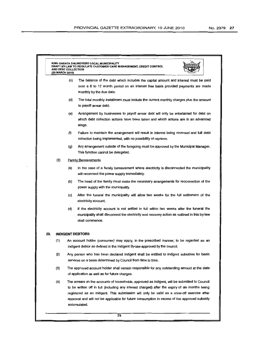$\overline{\phantom{a}}$ 

|     | (25 MARCH 2010) | KING SABATA DALINDYEBO LOCAL MUNICIPALITY<br>DRAFT BY-LAW TO REGULATE CUSTOMER CARE MANAGEMENT, CREDIT CONTROL<br>AND DEBT COLLECTION                                                                                                                                                                                                                                                                          |  |  |  |  |
|-----|-----------------|----------------------------------------------------------------------------------------------------------------------------------------------------------------------------------------------------------------------------------------------------------------------------------------------------------------------------------------------------------------------------------------------------------------|--|--|--|--|
|     |                 | (c)<br>The balance of the debt which includes the capital amount and interest must be paid<br>over a 6 to 12 month period on an interest free basis provided payments are made<br>monthly by the due date.                                                                                                                                                                                                     |  |  |  |  |
|     |                 | (d)<br>The total monthly installment must include the current monthly charges plus the amount<br>to payoff arrear debt.                                                                                                                                                                                                                                                                                        |  |  |  |  |
|     |                 | (e)<br>Arrangement by businesses to payoff arrear debt will only be entertained for debt on<br>which debt collection actions have been taken and which actions are in an advanced<br>stage.                                                                                                                                                                                                                    |  |  |  |  |
|     |                 | (f)<br>Failure to maintain the arrangement will result in interest being reversed and full debt<br>collection being implemented, with no possibility of reprieve.                                                                                                                                                                                                                                              |  |  |  |  |
|     |                 | (g)<br>Any arrangement outside of the foregoing must be approved by the Municipal Manager.<br>This function cannot be delegated.                                                                                                                                                                                                                                                                               |  |  |  |  |
|     | (3)             | <b>Family Bereavements</b>                                                                                                                                                                                                                                                                                                                                                                                     |  |  |  |  |
|     |                 | (a)<br>In the case of a family bereavement where electricity is disconnected the municipality<br>will reconnect the power supply immediately.                                                                                                                                                                                                                                                                  |  |  |  |  |
|     |                 | (b)<br>The head of the family must make the necessary arrangements for reconnection of the<br>power supply with the municipality.                                                                                                                                                                                                                                                                              |  |  |  |  |
|     |                 | (c)<br>After the funeral the municipality will allow two weeks for the full settlement of the<br>electricity account.                                                                                                                                                                                                                                                                                          |  |  |  |  |
|     |                 | (d)<br>If the electricity account is not settled in full within two weeks after the funeral the<br>municipality shall disconnect the electricity and recovery action as outlined in this by-law<br>shall commence.                                                                                                                                                                                             |  |  |  |  |
| 23. |                 | <b>INDIGENT DEBTORS</b>                                                                                                                                                                                                                                                                                                                                                                                        |  |  |  |  |
|     | (1)             | An account holder (consumer) may apply, in the prescribed manner, to be regarded as an<br>indigent debtor as defined in the Indigent By-law approved by the council.                                                                                                                                                                                                                                           |  |  |  |  |
|     | (2)             | Any person who has been declared indigent shall be entitled to indigent subsidies for basic<br>services on a basis determined by Council from time to time.                                                                                                                                                                                                                                                    |  |  |  |  |
|     | (3)             | The approved account holder shall remain responsible for any outstanding amount at the date<br>of application as well as for future charges.                                                                                                                                                                                                                                                                   |  |  |  |  |
|     | (4)             | The arrears on the accounts of households, approved as indigent, will be submitted to Council<br>to be written off in full (including any interest charged) after the expiry of six months being<br>registered as an indigent. This submission will only be valid as a once-off exercise after<br>approval and will not be applicable for future consumption in excess of the approved subsidy<br>accumulated. |  |  |  |  |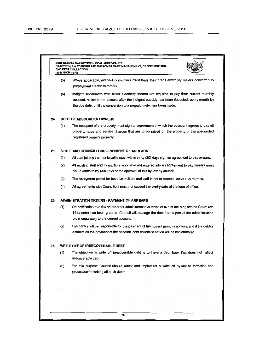| 24. | (6)                                        | Indigent consumers with credit electricity meters are required to pay their current monthly<br>account, which is the amount after the indigent subsidy has been deducted, every month by                                                       |  |  |  |  |
|-----|--------------------------------------------|------------------------------------------------------------------------------------------------------------------------------------------------------------------------------------------------------------------------------------------------|--|--|--|--|
|     |                                            | the due date, until the conversion to a prepaid meter has been made.                                                                                                                                                                           |  |  |  |  |
|     |                                            | <b>DEBT OF ABSCONDED OWNERS</b>                                                                                                                                                                                                                |  |  |  |  |
|     | (1)                                        | The occupant of the property must sign an agreement in which the occupant agrees to pay all<br>property rates and service charges that are to be raised on the property of the absconded<br>registered owner's property.                       |  |  |  |  |
| 25. | STAFF AND COUNCILLORS - PAYMENT OF ARREARS |                                                                                                                                                                                                                                                |  |  |  |  |
|     | (1)                                        | All staff joining the municipality must within thirty (30) days sign an agreement to pay arrears.                                                                                                                                              |  |  |  |  |
|     | (2)                                        | All existing staff and Councillors who have not entered into an agreement to pay arrears must<br>do so within thirty (30) days of the approval of this by-law by council.                                                                      |  |  |  |  |
|     | (3)                                        | The repayment period for both Councillors and staff is not to exceed twelve (12) months.                                                                                                                                                       |  |  |  |  |
|     | (4)                                        | All agreements with Councillors must not exceed the expiry date of the term of office.                                                                                                                                                         |  |  |  |  |
| 26. | ADMINISTRATION ORDERS - PAYMENT OF ARREARS |                                                                                                                                                                                                                                                |  |  |  |  |
|     | (1)                                        | On notification that the an order for administration in terms of s74 of the Magistrates Court Act,<br>1944 order has been granted, Council will manage the debt that is part of the administration<br>order separately to the current account. |  |  |  |  |
|     | (2)                                        | The debtor will be responsible for the payment of the current monthly account and if the debtor<br>defaults on the payment of the account, debt collection action will be implemented.                                                         |  |  |  |  |
| 27. | WRITE OFF OF IRRECOVERABLE DEBT            |                                                                                                                                                                                                                                                |  |  |  |  |
|     | (1)                                        | The objective to write off irrecoverable debt is to have a debt book that does not reflect<br>irrecoverable debt.                                                                                                                              |  |  |  |  |
|     | (2)                                        | For this purpose Council should adopt and implement a write off by-law to formalise the<br>processes for writing off such debts.                                                                                                               |  |  |  |  |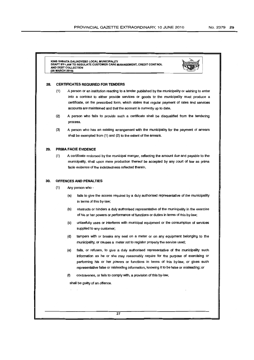KING SABATA DAUNDYEBO LOCAL MUNICIPAUTV DRAFT BY·LAW TO REGULATE CUSTOMER CARE MANAGEMENT, CREDIT CONTROL AND DEBT COLLECTION (25 MARCH 2010)



#### 28. CERTIRCATES REQUIRED FORTENDERS

- (1) A person or an institution reacting to a tender published by the municipalityor wishing to enter into a contract to either provide services or goods to the municipality must produce a certificate, on the prescribed form, which states that regular payment of rates and services accounts are maintained and that the account is currently up to date.
- (2) A person who fails to provide such a certificate shall be disqualified from the tendering process.
- (3) A person who has an existing arrangement with the municipality for the payment of arrears shall be exempted from  $(1)$  and  $(2)$  to the extent of the arrears.

#### 29. PRIMA FACIE EVIDENCE

(1) A certificate endorsed by the municipalmanger, reflecting the amount due and payable to the municipality, shall upon mere production thereof be accepted by any court of law as prima facie evidence of the indebtedness reflected therein.

#### 30. OFFENCESAND PENALTIES

- (1) Any person who
	- (a) fails to give the access required by a duly authorised representative of the municipality in terms of this by-law;
	- (b) obstructs or hinders a duly authorised representative of the municipality in the exercise of his or her powers or performance of functions or duties in terms of this by-law;
	- (c) unlawfully uses or interferes with municipal equipment or the consumption of services supplied to any customer;
	- (d) tampers with or breaks any seal on a meter or on any equipment belonging to the municipality, or causes a meter not to register properly the service used;
	- (e) fails, or refuses, to give a duly authorised representative of the municipality such information as he or she may reasonably require for the purpose of exercising or performing his or her powers or functions in terms of this by-law, or gives such representative false or misleading information, knowing it to be false or misleading; or
	- (f) contravenes, or tails to comply with, a provision of this by-law,

shall be guilty of an offence.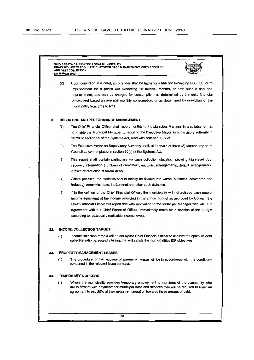KING SABATA DAUNDYEBO LOCAL MUNICIPAUTY AW TO REGULATE CUSTOMER CARE MANAGEMENT, CREDIT CONTROL AND DEBT COLLECTION (25 MARCH 2010)



(2) Upon conviction in a court, an offender shall be liable for a fine not exceeding RBO 000, or to imprisonment for a period not exceeding 12 (twelve) months, or both such a fine and imprisonment, and may be charged for consumption, as determined by the chief financial officer, and based on average monthly consumption, or as determined by resolution of the municipality from time to time.

#### 31. REPORTING AND PERFORMANCE MANAGEMENT

- (1) The Chief Financial Officer shall report monthly to the Municipal Manager in a suitable format to enable the Municipal Manager to report to the Executive Mayor as supervisory authority in terms of section 99 of the Systems Act, read with section 1 OO( c).
- (2) The Executive Mayor as Supervisory Authority shall, at intervals of three (3) months, report to Council as contemplated in section 99(c) of the Systems Act.
- (3) This report shall contain particulars on cash collection statistics, showing high-level debt recovery information (numbers of customers; enquires; arrangements; default arrangements; growth or reduction of arrear debt).
- (4) Where possible, the statistics should ideally be divided into wards, business (commerce and industry), domestic, state, institutional and other such divisions.
- (5) If in the opinion of the Chief Financial Officer, the municipality will not achieve cash receipt income equivalent of the income projected in the annual budget as approved by Council, the Chief Financial Officer will report this with motivation to the Municipal Manager who will, if in agreement with the Chief Financial Officer, immediately move for a revision of the budget according to realistically realisable income levels.

#### 32. INCOME COLLECTION TARGET

(1) Income collection targets will be set by the Chief Financial Officer to achieve the optimum debt collection ratio i.e. receipt / billing, that will satisfy the municipalities IDP objectives.

#### 33. PROPERTY MANAGEMENT LEASES

(1) The procedure for the recovery of arrears on leases will be in accordance with the conditions contained in the relevant lease contract.

#### 34. TEMPORARY WORKERS

(1) Where the municipality provides temporary employment to members of the community who are in arrears with payments for municipal rates and services they will be required to enter an agreement to pay 20% of their gross remuneration towards these arrears of debt.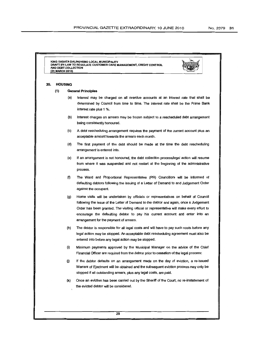KING SABATA DALINDYEBO LOCAL MUNICIPALITY DRAFT BY·LAW TO REGULATE CUSTOMER CARE MANAGEMENT, CREDIT CONTROL AND DEBT COLLECTION (25 MARCH 2010)



#### 35. HOUSING

#### (1) General Principles

- (a) Interest may be charged on all overdue accounts at an interest rate that shall be determined by Council from time to time. The interest rate shall be the Prime Bank interest rate plus 1 %.
- (b) Interest charges on arrears may be frozen subject to a rescheduled debt arrangement being consistently honoured.
- (c) A debt rescheduling arrangement requires the payment of the current account plus an acceptable amount towards the arrears each month.
- (d) The first payment of the debt should be made at the time the debt rescheduling arrangement is entered into.
- (e) If an arrangement is not honoured, the debt collection process/legal action will resume from where it was suspended and not restart at the beginning of the administrative process.
- (f) The Ward and Proportional Representative (PR) Councillors will be informed of defaulting debtors following the issuing of a Letter of Demand to and Judgement Order against the occupant.
- (g) Home visits will be undertaken by officials or representatives on behalf of Council following the issue of the Letter of Demand to the debtor and again, once a Judgement Order has been granted. The visiting official or representative will make every effort to encourage the defaulting debtor to pay his current account and enter into an arrangement for the payment of arrears.
- (h) The debtor is responsible for all legal costs and will have to pay such costs before any legal action may be stopped. An acceptable debt rescheduling agreement must also be entered into before any legal action may be stopped.
- (i) Minimum payments approved by the Municipal Manager on the advice of the Chief Financial Officer are required from the debtor prior to cessation of the legal process:
- $(i)$  If the debtor defaults on an arrangement made on the day of eviction, a re-issued Warrant of Ejectment will be obtained and the subsequent eviction process may only be stopped if all outstanding arrears, plus any legal costs, are paid.
- (k) Once an eviction has been carried out by the Sheriff of the Court, no re-instatement of the evicted debtor will be considered.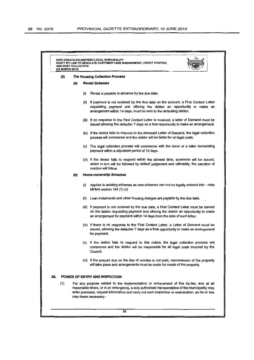| (2) |     | <b>The Housing Collection Process</b>                                                                                                                                                                                                                                                       |  |  |  |
|-----|-----|---------------------------------------------------------------------------------------------------------------------------------------------------------------------------------------------------------------------------------------------------------------------------------------------|--|--|--|
|     | (a) | <b>Rental Schemes</b>                                                                                                                                                                                                                                                                       |  |  |  |
|     |     | Rental is payable in advance by the due date.<br>(i)                                                                                                                                                                                                                                        |  |  |  |
|     |     | If payment is not received by the due date on the account, a First Contact Letter<br>(ii)<br>requesting payment and offering the debtor an opportunity to make an<br>arrangement within 14 days, must be sent to the defaulting debtor.                                                     |  |  |  |
|     |     | (iii) If no response to the First Contact Letter is received, a letter of Demand must be<br>issued allowing the defaulter 7 days as a final opportunity to make an arrangement.                                                                                                             |  |  |  |
|     |     | (iv) If the debtor fails to respond to the aforesaid Letter of Demand, the legal collection<br>process will commence and the debtor will be liable for all legal costs.                                                                                                                     |  |  |  |
|     |     | (v) The legal collection process will commence with the issue of a letter demanding<br>payment within a stipulated period of 10 days.                                                                                                                                                       |  |  |  |
|     |     | (vi) If the debtor fails to respond within the allowed time, summons will be issued,<br>which in turn will be followed by default judgement and ultimately, the sanction of<br>eviction will follow.                                                                                        |  |  |  |
|     | (b) | <b>Home-ownership Schemes</b>                                                                                                                                                                                                                                                               |  |  |  |
|     |     | Applies to existing schemes as new schemes can not be legally entered into - refer<br>(i)<br>MFMA section $164$ (1) (c)                                                                                                                                                                     |  |  |  |
|     |     | Loan instalments and other housing charges are payable by the due date.<br>(ii)                                                                                                                                                                                                             |  |  |  |
|     |     | (iii) If payment is not received by the due date, a First Contact Letter must be served<br>on the debtor requesting payment and offering the debtor an opportunity to make<br>an arrangement for payment within 14 days from the date of such letter.                                       |  |  |  |
|     |     | (iv) If there is no response to the First Contact Letter, a Letter of Demand must be<br>issued, allowing the defaulter 7 days as a final opportunity to make an arrangement<br>for payment.                                                                                                 |  |  |  |
|     |     | (v) If the debtor fails to respond to this notice, the legal collection process will<br>commence and the debtor will be responsible for all legal costs incurred by the<br>Council.                                                                                                         |  |  |  |
|     |     | (vi) If the amount due on the day of eviction is not paid, repossession of the property<br>will take place and arrangements must be made for resale of the property.                                                                                                                        |  |  |  |
| 36. |     | POWER OF ENTRY AND INSPECTION                                                                                                                                                                                                                                                               |  |  |  |
| (1) |     | For any purpose related to the implementation or enforcement of this by-law, and at all<br>reasonable times, or in an emergency, a duly authorised representative of the municipality may<br>enter premises, request information and carry out such inspection or examination, as he or she |  |  |  |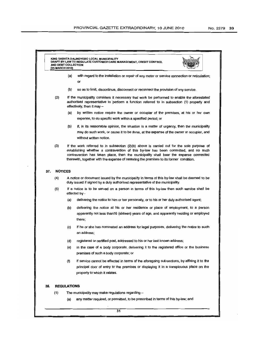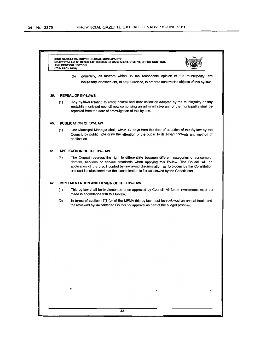| KING SABATA DALINDYEBO LOCAL MUNICIPALITY<br>DRAFT BY-LAW TO REGULATE CUSTOMER CARE MANAGEMENT, CREDIT CONTROL<br>AND DEBT COLLECTION<br>(25 MARCH 2010)                                                                                                                                                                                                                                 |  |  |  |  |  |
|------------------------------------------------------------------------------------------------------------------------------------------------------------------------------------------------------------------------------------------------------------------------------------------------------------------------------------------------------------------------------------------|--|--|--|--|--|
| generally, all matters which, in the reasonable opinion of the municipality, are<br>(b)                                                                                                                                                                                                                                                                                                  |  |  |  |  |  |
| necessary, or expedient, to be prescribed, in order to achieve the objects of this by-law.                                                                                                                                                                                                                                                                                               |  |  |  |  |  |
| <b>REPEAL OF BY-LAWS</b><br>39.                                                                                                                                                                                                                                                                                                                                                          |  |  |  |  |  |
| (1)<br>Any by-laws relating to credit control and debt collection adopted by the municipality or any<br>erstwhile municipal council now comprising an administrative unit of the municipality shall be<br>repealed from the date of promulgation of this by-law.                                                                                                                         |  |  |  |  |  |
| PUBLICATION OF BY-LAW<br>40.                                                                                                                                                                                                                                                                                                                                                             |  |  |  |  |  |
| The Municipal Manager shall, within 14 days from the date of adoption of this By-law by the<br>(1)<br>Council, by public note draw the attention of the public to its broad contents and method of<br>application.                                                                                                                                                                       |  |  |  |  |  |
| <b>APPLICATION OF THE BY-LAW</b><br>41.                                                                                                                                                                                                                                                                                                                                                  |  |  |  |  |  |
| (1)<br>The Council reserves the right to differentiate between different categories of consumers,<br>debtors, services or service standards when applying this By-law. The Council will on<br>application of the credit control by-law avoid discrimination as forbidden by the Constitution<br>unless it is established that the discrimination is fair as allowed by the Constitution. |  |  |  |  |  |
| <b>IMPLEMENTATION AND REVIEW OF THIS BY-LAW</b><br>42.                                                                                                                                                                                                                                                                                                                                   |  |  |  |  |  |
| (1)<br>This by-law shall be implemented once approved by Council. All future investments must be<br>made in accordance with this by-law.                                                                                                                                                                                                                                                 |  |  |  |  |  |
| (2)<br>In terms of section 17(1)(e) of the MFMA this by-law must be reviewed on annual basis and<br>the reviewed by-law tabled to Council for approval as part of the budget process.                                                                                                                                                                                                    |  |  |  |  |  |
|                                                                                                                                                                                                                                                                                                                                                                                          |  |  |  |  |  |
|                                                                                                                                                                                                                                                                                                                                                                                          |  |  |  |  |  |
|                                                                                                                                                                                                                                                                                                                                                                                          |  |  |  |  |  |
|                                                                                                                                                                                                                                                                                                                                                                                          |  |  |  |  |  |
|                                                                                                                                                                                                                                                                                                                                                                                          |  |  |  |  |  |
|                                                                                                                                                                                                                                                                                                                                                                                          |  |  |  |  |  |
|                                                                                                                                                                                                                                                                                                                                                                                          |  |  |  |  |  |
|                                                                                                                                                                                                                                                                                                                                                                                          |  |  |  |  |  |
|                                                                                                                                                                                                                                                                                                                                                                                          |  |  |  |  |  |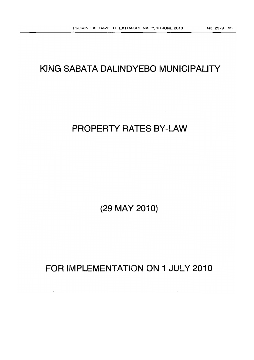# **KING SABATA DALINDYEBO MUNICIPALITY**

# **PROPERTY RATES BY-LAW**

**(29 MAY 2010)**

**FOR IMPLEMENTATION ON 1 JULY 2010**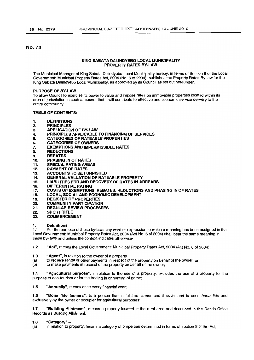# No. 72

#### KING SABATA DALINDYEBO LOCAL MUNICIPALITY PROPERTY RATES BY-LAW

The Municipal Manager of King Sabata Dalindyebo Local Municipality hereby, in terms of Section 6 of the Local Government: Municipal Property Rates Act, 2004 (No.6 of 2004), publishes the Property Rates By-law for the King Sabata Dalindyebo Local Municipality, as approved by its Council as set out hereunder.

#### PURPOSE OF BY-LAW

To allow Council to exercise its power to value and impose rates on immovable properties located within its area of jurisdiction in such a manner that it will contribute to effective and economic service delivery to the entire community.

#### TABLE OF CONTENTS:

- 1. DEFINITIONS
- 2. PRINCIPLES<br>3. APPLICATIO
- APPLICATION OF BY-LAW
- 4. PRINCIPLES APPLICABLE TO FINANCING OF SERVICES
- 5. CATEGORIES OF RATEABLE PROPERTIES<br>6. CATEGORIES OF OWNERS
- 6. CATEGORIES OF OWNERS
- 7. **EXEMPTIONS AND IMPERMISSIBLE RATES**<br>8. REDUCTIONS
- **REDUCTIONS**
- 9. REBATES
- 10. PHASING IN OF RATES
- 11. SPECIAL RATING AREAS
- 12. PAYMENT OF RATES<br>13. ACCOUNTS TO BE FL
- 13. ACCOUNTS TO BE FURNISHED<br>14. GENERAL VALUATION OF RATI
- 14. GENERAL VALUATION OF RATEABLE PROPERTY<br>15. LIABILITIES FOR AND RECOVERY OF RATES IN A
- 15. LIABILITIES FOR AND RECOVERY OF RATES IN ARREARS<br>16. DIFFERENTIAL RATING
- DIFFERENTIAL RATING
- 17. COSTS OF EXEMPTIONS, REBATES, REDUCTIONS AND PHASING IN OF RATES<br>18. LOCAL, SOCIAL AND ECONOMIC DEVELOPMENT
- LOCAL, SOCIAL AND ECONOMIC DEVELOPMENT
- 19. REGISTER OF PROPERTIES<br>20. COMMUNITY PARTICIPATIO
- 20. COMMUNITY PARTICIPATION<br>21. REGULAR REVIEW PROCESS
- **REGULAR REVIEW PROCESSES**
- 22. SHORT TITLE<br>23. COMMENCEM
- **COMMENCEMENT**

#### 1. Definitions

1.1 For the purpose of these by-laws any word or expression to which a meaning has been assigned in the Local Government: Municipal Property Rates Act, 2004 (Act No.6 of 2004) shall bear the same meaning in these by-laws and unless the context indicates otherwise-

1.2 "Act", means the Local Government: Municipal Property Rates Act, 2004 (Act No. 6 of 2004);

- 1.3 "Agent", in relation to the owner of a property-
- (a) to receive rental or other payments in respect of the property on behalf of the owner; or (b) to make payments in respect of the property on behalf of the owner;
- to make payments in respect of the property on behalf of the owner;

1.4 "Agricultural purpose", in relation to the use of a property, excludes the use of a property for the purpose of eco-tourism or for the trading in or hunting of game;

1.5 "Annually", means once every financial year;

1.6 "Bona fide farmers", is a person that is fulltime farmer and if such land is used bona fide and exclusively by the owner or occupier for agricultural purposes;

1.7 "Building Allotment", means a property located in the rural area and described in the Deeds Office Records as Building Allotment;

#### 1.8 "Category" -

(a) in relation to property, means a category of properties determined in terms of section 8 of the Act;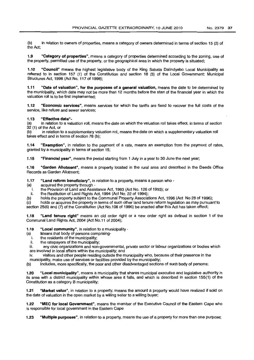(b) in relation to owners of properties, means a category of owners determined in terms of section 15 (2) of the Act;

1.9 "Category of properties", means a category of properties determined according to the zoning, use of the property, permitted use of the property, or the geographical area in which the property is situated;

1.10 "Council" means the highest legislative body of the King Sabata Dalindyebo Local Municipality as referred to in section 157 (1) of the Constitution and section 18 (3) of the Local Government: Municipal Structures Act, 1998 (Act No. 117 of 1998);

1.11 "Date of valuation", for the purposes of a general valuation, means the date to be determined by the municipality, which date may not be more than 12 months before the start of the financial year in which the valuation roll is to be first implemented;

1.12 "Economic services", means services for which the tariffs are fixed to recover the full costs of the service, like refuse and sewer services;

#### 1.13 "Effective date"-

(a) in relation to a valuation roll, means the date on which the valuation roll takes effect, in terms of section 32 (1) of the Act, or

(b) in relation to a supplementary valuation roll, means the date on which a supplementary valuation roll takes effect and in terms of section 78 (b);

1.14 "Exemption", in relation to the payment of a rate, means an exemption from the payment of rates, granted by a municipality in terms of section 15;

1.15 "Financial year", means the period starting from 1 July in a year to 30 June the next year:

-1.16 "Garden Allotment", means a property located in the rural area and described in the Deeds Office Records as Garden Allotment;

1.17 "Land reform beneficiary", in relation to a property, means a person who -

- (a) acquired the property through
	- i. the Provision of Land and Assistance Act, 1993 (Act No. 126 of 1993); or
- the Restitution of Land Rights Act, 1994 (Act No. 22 of 1994);
- (b) holds the property subject to the Communal Property Associations Act, 1996 (Act No 28 of 1996);

(c) holds or acquires the property in terms of such other land tenure reform legislation as may pursuant to section 25(6) and (7) of the Constitution (Act No.108 of 1996) be enacted after this Act has taken effect;

1.18 "Land tenure right" means an old order right or a new order right as defined in section 1 of the Communal Land Rights Act, 2004 (Act No.11 of 2004);

1.19 "Local community", in relation to a municipality -

- (a) Means that body of persons comprising-<br>internalidants of the municipality:
	- i. the residents of the municipality;<br>ii. the ratepayers of the municipality
	- ii. the ratepayers of the municipality;

any civic organizations and non-governmental, private sector or labour organizations or bodies which are involved in local affairs within the municipality; and

iv. visitors and other people residing outside the municipality who, because of their presence in the

municipality, make use of services or facilities provided by the municipality;<br>(b) lncludes, more specifically, the poor and other disadvantaged section Includes, more specifically, the poor and other disadvantaged sections of such body of persons;

1.20 "Local municipality", means a municipality that shares municipal executive and legislative authority in its area with a district municipality within whose area it falls, and which is described in section 155(1) of the Constitution as a category 8 municipality;

1.21 "Market value", in relation to a property, means the amount a property would have realized if sold on the date of valuation in the open market by a willing seller to a willing buyer;

1.22 "MEC for local Government", means the member of the Executive Council of the Eastern Cape who is responsible for focal government in the Eastern Cape

1.23 "Multiple purposes", in relation to a property, means the use of a property for more than one purpose;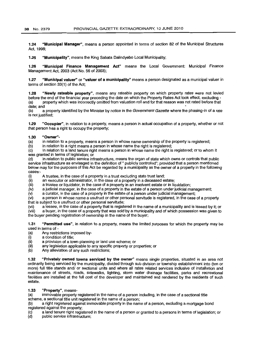1.24 "Municipal Manager", means a person appointed in terms of section 82 of the Municipal Structures Act, 1998;

1.25 "Municipality", means the King Sabata Dalindyebo Local Municipality;

1.26 "Municipal Finance Management Act" means the Local Government: Municipal Finance Management Act, 2003 (Act No. 56 of 2003);

1.27 "Municipal valuer" or "valuer of a municipality" means a person designated as a municipal valuer in terms of section 33(1) of the Act;

1.28 "Newly rateable property", means any rateable property on which property rates were not levied before the end of the financial year preceding the date on which the Property Rates Act took effect, excluding - (a) property which was incorrectly omitted from valuation roll and for that reason was not rated before that date; and<br>(b) a

a property identified by the Minister by notice in the Government Gazette where the phasing-in of a rate is not justified;

1.29 "Occupier", in relation to a property, means a person in actual occupation of a property, whether or not that person has a right to occupy the property;

#### 1.30 "Owner"-

(a) in relation to a property, means a person in whose name ownership of the property is registered;

(b) in relation to a right means a person in whose name the right is registered;

(c) in relation to a land tenure right means a person in whose name the right is registered; or to whom it was granted in terms of legislation; or

(d) in relation to public service infrastructure, means the organ of state which owns or controls that public service infrastructure as envisaged in the definition of " publicly controlled"; provided that a person mentioned below may for the purposes of this Act be regarded by a municipality as the owner of a property in the following cases:-

(i) A trustee, in the case of a property in a trust excluding state trust land;<br>(ii) an executor or administrator, in the case of a property in a deceased e

 $\langle$ ii) an executor or administrator, in the case of a property in a deceased estate;<br> $\langle$ iii) a trustee or liquidator, in the case of a property in an insolvent estate or in lig

a trustee or liquidator, in the case of a property in an insolvent estate or in liquidation;

 $(iv)$  a judicial manager, in the case of a property in the estate of a person under judicial management;<br>(v) a curator, in the case of a property in the estate of a person under judicial management;

a curator, in the case of a property in the estate of a person under judicial management;

(vi) a person in whose name a usufruct or other personal servitude is registered, in the case of a property that is subject to a usufruct or other personal servitude;

(vii) a lessee, in the case of a property that is registered in the name of a municipality and is leased by it; or

(viii) a buyer, in the case of a property that was sold by a municipality and of which possession was given to

the buyer pending registration of ownership in the name of the buyer;

1.31 "Permitted use", in relation to a property, means the limited purposes for which the property may be used in terms of -

- (a) Any restrictions imposed by-
- $(i)$  a condition of title;<br> $(ii)$  a provision of a tow
- $\begin{array}{lll} \text{(ii)} & \text{a provision of a town planning or land use scheme; or} \\ \text{(iii)} & \text{any legislation applicable to any specific property or no} \end{array}$
- (iii) any legislation applicable to any specific property or properties; or (b) Any alleviation of any such restrictions;
- Any alleviation of any such restrictions;

1.32 "Privately owned towns serviced by the owner" means single properties, situated in an area not ordinarily being serviced by the municipality, divided through sub division or township establishment into (ten or more) full title stands and/ or sectional units and where all rates related services inclusive of installation and maintenance of streets, roads, sidewalks, lighting, storm water drainage facilities, parks and recreational facilities are installed at the full cost of the developer and maintained and rendered by the residents of such estate.

# 1.33 "Property", means-

(a) immovable property registered in the name of a person including, in the case of a sectional title scheme, a sectional title unit registered in the name of a person:

(b) a right registered against immovable property in the name of a person, excluding a mortgage bond registered against the property;

(c) a land tenure right registered in the name of a person or granted to a persons in terms of legislation; or<br>(d) public service infrastructure:

public service infrastructure: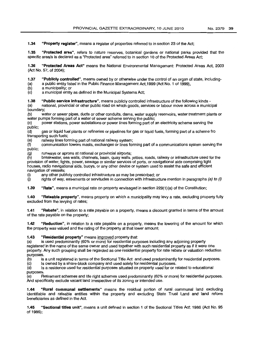1.34 "Property register", means a register of properties referred to in section 23 of the Act;

1.35 "Protected area", refers to nature reserves, botanical gardens or national parks provided that the specific area/s is declared as a "Protected area" referred to in section 10 of the Protected Areas Act;

1.36 "Protected Areas Act" means the National Environmental Management: Protected Areas Act, 2003 (Act No. 57, of 2004);

1.37 "Publicly controlled", means owned by or otherwise under the control of an organ of state, including-

(a) a public entity listed in the Public Finance Management Act, 1999 (Act No. 1 of 1999),<br>(b) a municipality: or

a municipality; or

(c) a municipal entity as defined in the Municipal Systems Act;

1.38 "Public service infrastructure", means publicly controlled infrastructure of the following kinds -

(a) national, provincial or other public road on which goods, services or labour move across a municipal boundary;

(b) water or sewer pipes, ducts or other conduits, dams, water supply reservoirs, water treatment plants or water pumps forming part of a water of sewer scheme serving the public;

(c) power stations, power substations or power lines forming part of an electricity scheme serving the public;

(d) gas or liquid fuel plants or refineries or pipelines for gas or liquid fuels, forming part of a scheme fro transporting such fuels;

(e) railway lines forming part of national railway system;

(f) communication towers masts, exchanges or lines forming part of a communications system serving the public;

(g) runways or aprons at national or provincial airports;

breakwater, sea walls, channels, basin, quay walls, jetties, roads, railway or infrastructure used for the provision of water, lights, power, sewage or similar services of ports, or navigational aids comprising light houses, radio navigational aids, buoys, or any other device or system used to assist the safe and efficient navigation of vessels;

(i) any other publicly controlled infrastructure as may be prescribed; or

 $\dot{I}$  rights of way, easements or servitudes in connection with infrastructure mention in paragraphs (a) to (i)

1.39 "Rate", means a municipal rate on property envisaged in section 229(1)(a) of the Constitution;

1.40 "Rateable property", means property on which a municipality may levy a rate, excluding property fully excluded from the levying of rates;

1.41 "Rebate", in relation to a rate payable on a property, means a discount granted in terms of the amount of the rate payable on the property;

1.42 "Reduction", in relation to a rate payable on a property, means the lowering of the amount for which the property was valued and the rating of the property at that lower amount;

**1.43** "Residential property" means improved property that:<br>(a) is used predominantly (60% or more) for residential puri

is used predominantly (60% or more) for residential purposes including any adjoining property registered in the name of the same owner and used together with such residential property as if it were one property. Any such grouping shall be regarded as one residential property for rate rebate or valuation reduction purposes.<br>(b) is

(b) is a unit registered in terms of the Sectional Title Act and used predominantly for residential purposes.

Is owned by a share-block company and used solely for residential purposes.

(d) Is a residence used for residential purposes situated on property used for or related to educational purposes.<br>(e) R

Retirement schemes and life right schemes used predominantly (60% or more) for residential purposes. And specifically exclude vacant land irrespective of its zoning or intended use.

1.44 "Rural communal settlements" means the residual portion of rural communal land excluding identifiable and rateable entities within the property and excluding State Trust Land and land reform beneficiaries as defined in the Act.

1.45 "Sectional titles unit", means a unit defined in section 1 of the Sectional Titles Act; 1986 (Act No. 95 of 1986);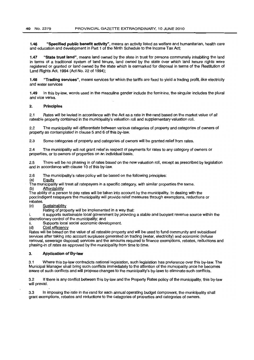1.46 "Specified public benefit activity", means an activity listed as welfare and humanitarian, health care and education and development in Part 1 of the Ninth Schedule to the Income Tax Act;

1.47 "State trust land", means land owned by the state in trust *tor* persons communally inhabiting the land in terms of a traditional system of land tenure, land owned by the state over which land tenure rights were registered or granted or land owned by the state which is earmarked for disposal in terms of the Restitution *ot* Land Rights Act, 1994 (Act No. 22 of 1994);

1.48 "Trading services", means services for which the tariffs are fixed to yield a trading profit, like electricity and water services

1.49 In this by-law, words used in the masculine gender include the feminine, the singular includes the plural and vice versa.

#### 2. Principles

2.1 Rates will be levied in accordance with the Act as a rate in the rand based on the market value of all rateable property contained in the municipality's valuation roll and supplementary valuation roll.

2.2 The municipality will differentiate between various categories of property and categories of owners of property as contemplated in clause 5 and 6 of this by-law.

2.3 Some categories of property and categories of owners will be granted relief from rates.

2.4 The municipality will not grant relief in respect of payments for rates to any category of owners or properties, or to owners of properties on an individual basis.

2.5 There will be no phasing in of rates based on the new valuation roll, except as prescribed by legislation -and in accordance with clause 10 of this by-law.

2.6 The municipality's rates policy will be based on the following principles:

(a) Equity

The municipality will treat all ratepayers in a specific category, with similar properties the same. (b) Affordability

The ability of a person to pay rates will be taken into account by the municipality. In dealing with the poor/indigent ratepayers the municipality will provide relief measures through exemptions, reductions or rebates.

(c) Sustainability

Rating of property will be implemented in a way that:

it supports sustainable local government by providing a stable and buoyant revenue source within the discretionary control of the municipality; and

ii. Supports local social economic development.

(d) Cost efficiency

Rates will be based on the value of all rateable property and will be used to fund community and subsidised services after taking into account surpluses generated on trading (water, electricity) and economic (refuse removal, sewerage disposal) services and the amounts required to finance exemptions, rebates, reductions and phasing-in *ot*rates as approved by the municipality from time to time.

# 3. Application of By-law

3.1 Where this by-law contradicts national legislation, such legislation has preference over this by-law. The Municipal Manager shall bring such conflicts immediately to the attention of the municipality once he becomes aware of such conflicts and will propose changes to the municipality's by-laws to eliminate such conflicts.

3.2 If there is any conflict between this by-law and the Property Rates policy of the municipality, this by-law will prevail.

3.3 In imposing the rate in the rand for each annual operating budget component, the municipality shall grant exemptions. rebates and reductions to the categories of properties and categories of owners.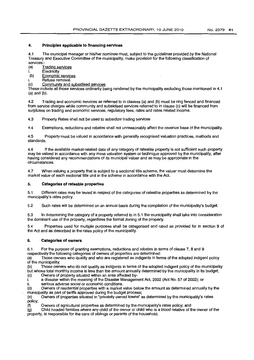#### 4. Principles applicable to financing services

4.1 The municipal manager or his/her nominee must, subject to the guidelines provided by the National Treasury and Executive Committee of the municipality, make provision for the following classification of services:

(a) Trading services

- Electricity
- (b) Economic services
- i. Refuse removal.

(c) Community and subsidised services

These include all those services ordinarily being rendered by the municipality excluding those mentioned in 4.1 (a) and (b).

4.2 Trading and economic services as referred to in clauses (a) and (b) must be ring fenced and financed from service charges while community and subsidised services referred to in clause (c) will be financed from surpluses on trading and economic services, regulatory fees, rates and rates related income.

4.3 Property Rates shall not be used to subsidize trading services

4.4 Exemptions, reductions and rebates shall not unreasonably affect the revenue base of the municipality.

4.5 Property must be valued in accordance with generally recognised valuation practices, methods and standards.

4.6 If the available market-related data of any category of rateable property is not sufficient such property may be valued in accordance with any mass valuation system or technique approved by the municipality, after havinq considered any recommendations of its municipal valuer and as may be appropriate in the circumstances.

4.7 When valuing a property that is subject to a sectional title scheme, the valuer must determine the market value of each sectional title unit in the scheme in accordance with the Act.

#### 5. Categories of rateable properties

5.1 Different rates may be levied in respect of the categories of rateable properties as determined by the municipality's rates policy.

5.2 Such rates will be determined on an annual basis during the compilation of the municipality's budget.

5.3 In determining the category of a property referred to in 5.1 the municipality shall take into consideration the dominant use of the property, regardless the formalzoning of the property.

5.4 Properties used for multiple purposes shall be categorised and rated as provided for in section 9 of the Act and as described in the rates policy of the municipality.

#### 6. Categories of owners

6.1 For the purpose of granting exemptions, reductions and rebates in terms of clause 7, 8 and 9 respectively the following categories of owners of properties are determined:

(a) Those owners who qualify and who are registered as indigents in terms of the adopted indigent policy of the municipality;<br>(b) Those own

Those owners who do not qualify as indigents in terms of the adopted indigent policy of the municipality but whose total monthly income is less than the amount annually determined by the municipality in its budget;

(c) Owners of property situated within an area affected by-

i. a disaster within the meaning of the Disaster Management Act, 2002 (Act No. 57 of 2002); or serious adverse social or economic conditions.

ii. serious adverse social or economic conditions.<br>(d) Owners of residential properties with a market Owners of residential properties with a market value below the amount as determined annually by the

municipality as part of tariffs approved during the budget process;<br>(e) Owners of properties situated in "privately owned towns" Owners of properties situated in "privately owned towns" as determined by the municipality's rates policy;<br>(f)

Owners of agricultural properties as determined by the municipality's rates policy; and

(g) Child headed families where any child of the owner or child who is a blood relative of the owner of the property, is responsible for the care of siblings or parents of the household.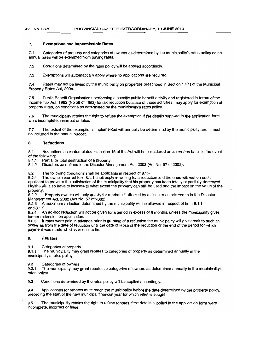#### 7. **Exemptions and Impermissible Rates**

7.1 Categories of property and categories of owners as determined by the municipality's rates policy on an annual basis will be exempted from paying rates.

7.2 Conditions determined by the rates policy will be applied accordingly.

7.3 Exemptions will automatically apply where no applications are required.

7.4 Rates may not be levied by the municipality on properties prescribed in Section 17(1) of the Municipal Property Rates Act, 2004.

7.5 Public Benefit Organisations performing a specific public benefit activity and registered in terms of the Income Tax Act, 1962 (No 58 of 1962) for tax reduction because of those activities, may apply for exemption of property rates, on conditions as determined by the municipality's rates policy.

7.6 The municipality retains the right to refuse the exemption if the details supplied in the application form were incomplete, incorrect or false.

7.7 The extent of the exemptions implemented will annually be determined by the municipality and it must be included in the annual budget.

#### **8. Reductions**

8.1 Reductions as contemplated in section 15 of the Act will be considered on an *ad-hoc* basis in the event of the following:

8.1.1 Partial or total destruction of a property.

8.1.2 Disasters as defined in the Disaster Management Act, 2002 (Act No. 57 of 2002).

8.2 The following conditions shall be applicable in respect of 8.1:-

B.2.1 The owner referred to in B.1.1 shall apply in writing for a reduction and the onus will rest on such applicant to prove to the satisfaction of the municipality that his property has been totally or partially destroyed. He/she will also have to indicate to what extent the property can still be used and the impact on the value of the property<br>8.2.2

Property owners will only qualify for a rebate if affected by a disaster as referred to in the Disaster Management Act, 2002 (Act No. 57 of 2002).

8.2.3 A maximum reduction determined by the municipality will be allowed in respect of both 8.1.1

and  $8.1.2$ .<br> $8.2.4$  Ar An ad-hoc reduction will not be given for a period in excess of 6 months, unless the municipality gives further extension on application.

8.2.5 If rates were paid in advance prior to granting of a reduction the municipality will give credit to such an owner as from the date of reduction until the date of lapse of the reduction or the end of the period for which payment was made whichever occurs first.

### 9. **Rebates**

9.1. Categories of property

9.1.1 The municipality may grant rebates to categories of property as determined annually in the municipality's rates policy.

9.2 Categories of owners<br>9.2.1 The municipality may The municipality may grant rebates to categories of owners as determined annually in the municipality's rates policy.

9.3 Conditions determined by the rates policy will be applied accordingly.

9.4 Applications for rebates must reach the municipality before the date determined by the property policy, preceding the start of the new municipal financial year for which relief is sought.

9.5 The municipality retains the right to refuse rebates if the details supplied in the application form were incomplete, incorrect or false.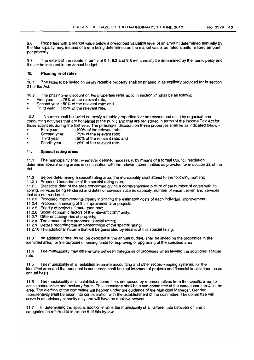9.6 Properties with a market value below a prescribed valuation level of an amount determined annually by the Municipality may, instead of a rate being determined on the market value, be rated a uniform fixed amount per property.

9.7 The extent of the rebate in terms of 9.1, 9.2 and 9.6 will annually be determined by the municipality and it must be included in the annual budget.

# 10. **Phasing in of rates**

10.1 The rates to be levied on newly rateable property shall be phased in as explicitly provided for in section 21 of the Act.

10.2 The phasing-in discount on the properties referred to in section 21 shall be as follows:

- First year : 75% of the relevant rate;
- Second year : 50% of the relevant rate; and<br>Third year : 25% of the relevant rate.
- : 25% of the relevant rate.

10.3 No rates shall be levied on newly rateable properties that are owned and used by organisations conducting activities that are beneficial to the public and that are registered in terms of the Income Tax Act for those activities, during the first year. The phasing-in discount on these properties shall be as indicated below:-<br>First year 100% of the relevant rate:

- First year :100% of the relevant rate;
- Second year : 75% of the relevant rate;<br>Third year : 50% of the relevant rate;
- Fhird year : 50% of the relevant rate; and<br>Fourth year : 25% of the relevant rate.
- : 25% of the relevant rate.

# 11. **Special rating areas**

11.1 The municipality shall, whenever deemed necessary, by means of a formal Council resolution .determine special rating areas in consultation with the relevant communities as provided for in section 22 of the Act.

11.2 Before determining a special rating area, the municipality shall attend to the following matters:

11.2.1 Proposed boundaries of the special rating area;

11.2.2 Statistical data of the area concerned giving a comprehensive picture of the number of erven with its zoning, services being rendered and detail of services such as capacity, number of vacant erven and services that are not rendered;

11.2.3 Proposed improvements clearly indicating the estimated costs of each individual improvement;

11.2.4 Proposed financing of the improvements or projects;

- 11.2.5 Priority of projects if more than one;
- 11.2.6 Social economic factors of the relevant community;
- 11.2.7 Different categories of property;
- 11.2.8 The amount of the proposed special rating;

11.2.9 Details regarding the implementation of the special rating;

11.2.10 The additional income that will be generated by means of this special rating.

11.3 An additional rate, as will be depicted in the annual budget, shall be levied on the properties in the identified area, for the purpose of raising funds for improving or upgrading of the specified area.

11.4 The municipality may differentiate between categories of properties when levying the additional special rate.

11.5 The municipality shall establish separate accounting and other record-keeping systems, for the identified area and the households concerned shall be kept informed of projects and financial implications on an annual basis.

11.6 The municipality shall establish a committee, composed by representatives from the specific area, to act as consultative and advisory forum. This committee shall be a sub-committee of the ward *committee/s* in the area. The election of the committee will happen under the guidance of the Municipal Manager. Gender representivity shall be taken into consideration with the establishment of the committee. The committee will serve in an advisory capacity only and will have no decisive powers.

11.7 In determining the special additional rates the municipality shall differentiate between different categories as referred to in clause 5 of this by-law.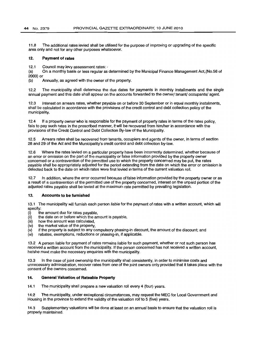11.8 The additional rates levied shall be utilised for the purpose of improving or upgrading of the specific area only and not for any other purposes whatsoever.

#### 12. Payment of rates

12.1 Council may levy assessment rates: -

(a) On a monthly basis or less regular as determined by the Municipal Finance Management Act,(No.56 of 2003) or

(b) Annually, as agreed with the owner of the property.

12.2 The municipality shall determine the due dates for payments in monthly installments and the single annual payment and this date shall appear on the accounts forwarded to the owner/ tenant/ occupants/ agent.

12.3 Interest on arrears rates, whether payable on or before 30 September or in equal monthly instalments, shall be calculated in accordance with the provisions of the credit control and debt collection policy of the municipality.

12.4 If a property owner who is responsible for the payment of property rates in terms of the rates policy, fails to pay such rates in the prescribed manner, it will be recovered from him/her in accordance with the provisions of the Credit Control and Debt Collection By-law of the Municipality.

12.5 Arrears rates shall be recovered from tenants, occupiers and agents of the owner, in terms of section 28 and 29 of the Act and the Municipality's credit control and debt collection by-law.

12.6 Where the rates levied on a particular property have been incorrectly determined, whether because of an error or omission on the part of the municipality or false information provided by the property owner , concerned or a contravention of the permitted use to which the property concerned may be put, the rates payable shall be appropriately adjusted for the period extending from the date on which the error or omission is detected back to the date on which rates were first levied in terms of the current valuation roll.

12.7 In addition, where the error occurred because of false information provided by the property owner or as a result of a contravention of the permitted use of the property concerned, interest on the unpaid portion of the adjusted rates payable shall be levied at the maximum rate permitted by prevailing legislation.

# 13. Accounts to be furnished

13.1 The municipality will furnish each person liable for the payment of rates with a written account, which will specify:

- (i) the amount due for rates payable,
- (ii) the date on or before which the amount is payable,
- (iii) how the amount was calculated,
- (iv) the market value of the property,
- $\langle v \rangle$  if the property is subject to any compulsory phasing-in discount, the amount of the discount; and
- (vi) rebates, exemptions, reductions or phasing-in, jf applicable.

13.2 A person liable for payment of rates remains liable for such payment, whether or not such person has received a written account from the municipality. If the person concerned has not received a written account, he/she must make the necessary enquiries with the municipality.

13.3 In the case of joint ownership the municipality shall consistently, in order to minimise costs and unnecessary administration, recover rates from one of the joint owners only provided that it takes place with the consent of the owners concerned.

#### 14. General Valuation of Rateable Property

14.1 The municipality shall prepare a new valuation roll every 4 (four) years.

14:2 Fhe municipality, under exceptional circumstances, may request the MEC for Local Government and Housing in the province to extend the validity of the valuation roll to 5 (five) years.

14.3 Supplementary valuations will be done at least on an annual basis to ensure that the valuation roll is properly maintained.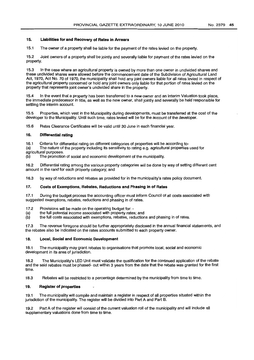# 15. Liabilities for and Recovery of Rates in Arrears

15.1 The owner of a property shall be liable for the payment of the rates levied on the property.

15.2 Joint owners of a property shall be jointly and severally liable for payment of the rates levied on the property.

15.3 In the case where an agricultural property is owned by more than one owner in undivided shares and these undivided shares were allowed before the commencement date of the Subdivision of Agricultural Land Act, 1970, Act No. 70 of 1970, the municipality shall hold any joint owners liable for all rates levied in respect of the agricultural property concerned or hold any joint owners only liable for that portion of rates levied on the property that represents joint owner's undivided share in the property.

15.4 In the event that a property has been transferred to a new owner and an Interim Valuation took place, the immediate predecessor in title, as well as the new owner, shall jointly and severally be held responsible for settling the interim account.

15.5 Properties, which vest in the Municipality during developments, must be transferred at the cost of the developer to the Municipality. Until such time, rates levied will be for the account of the developer.

15.6 Rates Clearance Certificates will be valid until 30 June in each financial year.

#### 16. Differential rating

16.1 Criteria for differential rating on different categories of properties will be according to-<br>(a) The nature of the property including its sensitivity to rating e.g. agricultural properties The nature of the property including its sensitivity to rating e.g. agricultural properties used for

agricultural purposes.<br>(b) The promotion

The promotion of social and economic development of the municipality.

16.2 Differential rating among the various property categories will be done by way of setting different cent amount in the rand for each property category; and

16.3 by way of reductions and rebates as provided for in the municipality's rates policy document.

# 17. Costs of Exemptions, Rebates, Reductions and Phasing in of Rates

17.1 During the budget process the accounting officer must inform Council of all costs associated with suggested exemptions, rebates, reductions and phasing in of rates.

- 17.2 Provisions will be made on the operating budget for: -<br>(a) the full potential income associated with property rate
- (a) the full potential income associated with property rates; and<br>(b) the full costs associated with exemptions, rebates, reduction
- the full costs associated with exemptions, rebates, reductions and phasing in of rates.

17.3 The revenue foregone should be further appropriately disclosed in the annual financial statements, and the rebates also be indicated on the rates accounts submitted to each property owner.

#### 18. Local, Social and Economic Development

18.1 The municipality may grant rebates to organisations that promote local, social and economic development in its area of jurisdiction.

18.2 The Municipality's LED Unit must validate the qualification for the continued application of the rebate and the said rebates must be phased- out within 3 years from the date that the rebate was granted for the first time.

18.3 Rebates will be restricted to a percentage determined by the municipality from time to time.

#### . 19. Register of properties

19.1 The municipality will compile and maintain a register in respect of all properties situated within the jurisdiction of the municipality. The register will be divided into Part A and Part B.

19.2 Part A of the register will consist of the current valuation roll of the municipality and will include all supplementary valuations done from time to time.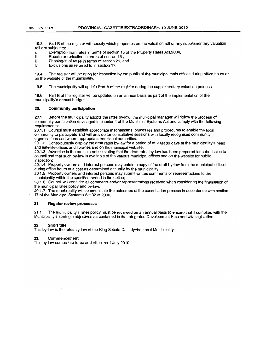19.3 Part B of the register will specify which properties on the valuation roll or any supplementary valuation roll are subject to:

- i. Exemption from rates in terms of section 15 of the Property Rates Act,2004,
- ii. Rebate or reduction in terms of section 15 ,
- iii. Phasing-in of rates in terms of section 21, and
- iv. Exclusions as referred to in section 17.

19.4 The register will be open for inspection by the public at the municipal main offices during office hours or on the website of the municipality.

19.5 The municipality will update Part A of the register during the supplementary valuation process.

19.6 Part B of the register will be updated on an annual basis as part of the implementation of the municipality's annual budget.

#### 20. Community participation

20,1 Before the municipality adopts the rates by-law, the municipal manager will follow the process of community participation envisaged in chapter 4 of the Municipal Systems Act and comply with the following requirements:

20,1.1 Council must establish appropriate mechanisms, processes and procedures to enable the local community to participate and will provide for consultative sessions with locally recognised community organisations and where appropriate traditional authorities.

20.1.2 Conspicuously display the draft rates by-law for a period of at least 30 days at the municipality's head and satellite offices and libraries and on the municipal website;

20.1.3 Advertise in the media a notice stating that the draft rates by-law has been prepared for submission to council and that such by-law is available at the various municipal offices and on the website for public inspection;

20.1.4 Property owners and interest persons may obtain a copy of the draft by-law from the municipal offices during office hours at a cost as determined annually by the municipality;

20.1.5 Property owners and interest persons may submit written comments or representations to the municipality within the specified period in the notice;

20.1.6 Council will consider all comments and/or representations received when considering the finalisation of the municipal rates policy and by-law.

20.1.7 The municipality will communicate the outcomes of the consultation process in accordance with section 17 of the Municipal Systems Act 32 of 2000.

# 21 Regular review processes

21.1 The municipality's rates policy must be reviewed on an annual basis to ensure that it complies with the Municipality's strategic objectives as contained in the Integrated Development Plan and with legislation.

# 22. Short title

This by-law is the rates by-law of the King Sabata Dalindyebo Local Municipality.

#### 23. Commencement

This by-law comes into force and effect on 1 July 2010.